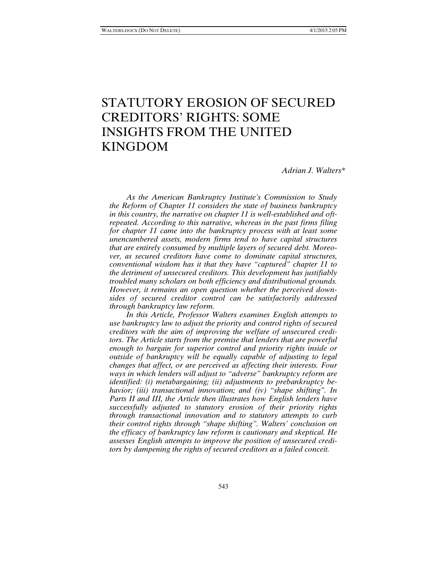# STATUTORY EROSION OF SECURED CREDITORS' RIGHTS: SOME INSIGHTS FROM THE UNITED KINGDOM

*Adrian J. Walters\**

*As the American Bankruptcy Institute's Commission to Study the Reform of Chapter 11 considers the state of business bankruptcy in this country, the narrative on chapter 11 is well-established and oftrepeated. According to this narrative, whereas in the past firms filing for chapter 11 came into the bankruptcy process with at least some unencumbered assets, modern firms tend to have capital structures that are entirely consumed by multiple layers of secured debt. Moreover, as secured creditors have come to dominate capital structures, conventional wisdom has it that they have "captured" chapter 11 to the detriment of unsecured creditors. This development has justifiably troubled many scholars on both efficiency and distributional grounds. However, it remains an open question whether the perceived downsides of secured creditor control can be satisfactorily addressed through bankruptcy law reform.* 

*In this Article, Professor Walters examines English attempts to use bankruptcy law to adjust the priority and control rights of secured creditors with the aim of improving the welfare of unsecured creditors. The Article starts from the premise that lenders that are powerful enough to bargain for superior control and priority rights inside or outside of bankruptcy will be equally capable of adjusting to legal changes that affect, or are perceived as affecting their interests. Four ways in which lenders will adjust to "adverse" bankruptcy reform are identified: (i) metabargaining; (ii) adjustments to prebankruptcy behavior; (iii) transactional innovation; and (iv) "shape shifting". In Parts II and III, the Article then illustrates how English lenders have successfully adjusted to statutory erosion of their priority rights through transactional innovation and to statutory attempts to curb their control rights through "shape shifting". Walters' conclusion on the efficacy of bankruptcy law reform is cautionary and skeptical. He assesses English attempts to improve the position of unsecured creditors by dampening the rights of secured creditors as a failed conceit.*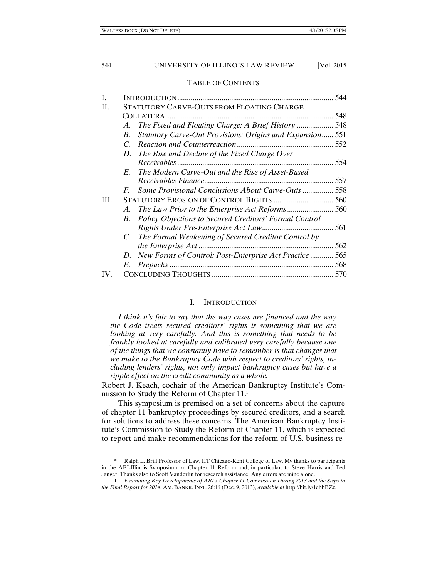$\overline{a}$ 

# 544 UNIVERSITY OF ILLINOIS LAW REVIEW [Vol. 2015

#### TABLE OF CONTENTS

| L   |                                           |                                                               | 544 |
|-----|-------------------------------------------|---------------------------------------------------------------|-----|
| H.  | STATUTORY CARVE-OUTS FROM FLOATING CHARGE |                                                               |     |
|     | COLLATERAL                                |                                                               |     |
|     | А.                                        | The Fixed and Floating Charge: A Brief History  548           |     |
|     | B.                                        | Statutory Carve-Out Provisions: Origins and Expansion 551     |     |
|     | $\mathcal{C}$                             |                                                               |     |
|     | D.                                        | The Rise and Decline of the Fixed Charge Over                 |     |
|     |                                           |                                                               |     |
|     | E.                                        | The Modern Carve-Out and the Rise of Asset-Based              |     |
|     |                                           |                                                               | 557 |
|     | $F_{\cdot}$                               | Some Provisional Conclusions About Carve-Outs 558             |     |
| HI. |                                           |                                                               |     |
|     | A.                                        | The Law Prior to the Enterprise Act Reforms 560               |     |
|     | B.                                        | <b>Policy Objections to Secured Creditors' Formal Control</b> |     |
|     |                                           |                                                               |     |
|     |                                           | C. The Formal Weakening of Secured Creditor Control by        |     |
|     |                                           |                                                               | 562 |
|     | $D_{\rm c}$                               | New Forms of Control: Post-Enterprise Act Practice  565       |     |
|     | E.                                        |                                                               | 568 |
| IV. |                                           |                                                               | 570 |
|     |                                           |                                                               |     |

# I. INTRODUCTION

*I think it's fair to say that the way cases are financed and the way the Code treats secured creditors' rights is something that we are looking at very carefully. And this is something that needs to be frankly looked at carefully and calibrated very carefully because one of the things that we constantly have to remember is that changes that we make to the Bankruptcy Code with respect to creditors' rights, including lenders' rights, not only impact bankruptcy cases but have a ripple effect on the credit community as a whole.* 

Robert J. Keach, cochair of the American Bankruptcy Institute's Commission to Study the Reform of Chapter 11.<sup>1</sup>

This symposium is premised on a set of concerns about the capture of chapter 11 bankruptcy proceedings by secured creditors, and a search for solutions to address these concerns. The American Bankruptcy Institute's Commission to Study the Reform of Chapter 11, which is expected to report and make recommendations for the reform of U.S. business re-

<sup>\*</sup> Ralph L. Brill Professor of Law, IIT Chicago-Kent College of Law. My thanks to participants in the ABI-Illinois Symposium on Chapter 11 Reform and, in particular, to Steve Harris and Ted Janger. Thanks also to Scott Vanderlin for research assistance. Any errors are mine alone.

 <sup>1.</sup> *Examining Key Developments of ABI's Chapter 11 Commission During 2013 and the Steps to the Final Report for 2014*, AM. BANKR. INST. 26:16 (Dec. 9, 2013), *available at* http://bit.ly/1ebhBZz.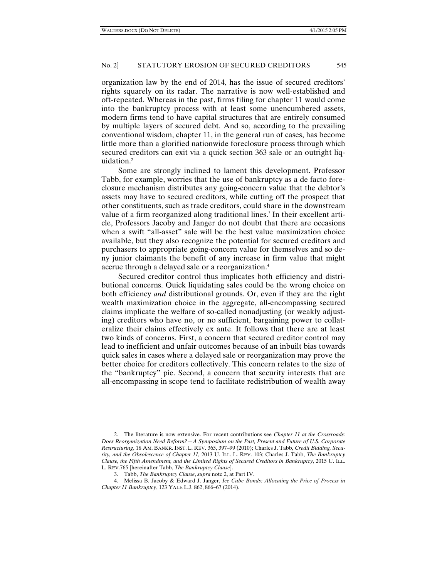organization law by the end of 2014, has the issue of secured creditors' rights squarely on its radar. The narrative is now well-established and oft-repeated. Whereas in the past, firms filing for chapter 11 would come into the bankruptcy process with at least some unencumbered assets, modern firms tend to have capital structures that are entirely consumed by multiple layers of secured debt. And so, according to the prevailing conventional wisdom, chapter 11, in the general run of cases, has become little more than a glorified nationwide foreclosure process through which secured creditors can exit via a quick section 363 sale or an outright liquidation.2

Some are strongly inclined to lament this development. Professor Tabb, for example, worries that the use of bankruptcy as a de facto foreclosure mechanism distributes any going-concern value that the debtor's assets may have to secured creditors, while cutting off the prospect that other constituents, such as trade creditors, could share in the downstream value of a firm reorganized along traditional lines.<sup>3</sup> In their excellent article, Professors Jacoby and Janger do not doubt that there are occasions when a swift "all-asset" sale will be the best value maximization choice available, but they also recognize the potential for secured creditors and purchasers to appropriate going-concern value for themselves and so deny junior claimants the benefit of any increase in firm value that might accrue through a delayed sale or a reorganization.4

Secured creditor control thus implicates both efficiency and distributional concerns. Quick liquidating sales could be the wrong choice on both efficiency *and* distributional grounds. Or, even if they are the right wealth maximization choice in the aggregate, all-encompassing secured claims implicate the welfare of so-called nonadjusting (or weakly adjusting) creditors who have no, or no sufficient, bargaining power to collateralize their claims effectively ex ante. It follows that there are at least two kinds of concerns. First, a concern that secured creditor control may lead to inefficient and unfair outcomes because of an inbuilt bias towards quick sales in cases where a delayed sale or reorganization may prove the better choice for creditors collectively. This concern relates to the size of the "bankruptcy" pie. Second, a concern that security interests that are all-encompassing in scope tend to facilitate redistribution of wealth away

<sup>2.</sup> The literature is now extensive. For recent contributions see *Chapter 11 at the Crossroads: Does Reorganization Need Reform?—A Symposium on the Past, Present and Future of U.S. Corporate Restructuring*, 18 AM. BANKR. INST. L. REV. 365, 397–99 (2010); Charles J. Tabb, *Credit Bidding, Security, and the Obsolescence of Chapter 11,* 2013 U. ILL. L. REV. 103; Charles J. Tabb, *The Bankruptcy Clause, the Fifth Amendment, and the Limited Rights of Secured Creditors in Bankruptcy*, 2015 U. ILL. L. REV.765 [hereinafter Tabb, *The Bankruptcy Clause*].

 <sup>3.</sup> Tabb, *The Bankruptcy Clause*, *supra* note 2, at Part IV.

 <sup>4.</sup> Melissa B. Jacoby & Edward J. Janger, *Ice Cube Bonds: Allocating the Price of Process in Chapter 11 Bankruptcy*, 123 YALE L.J. 862, 866–67 (2014).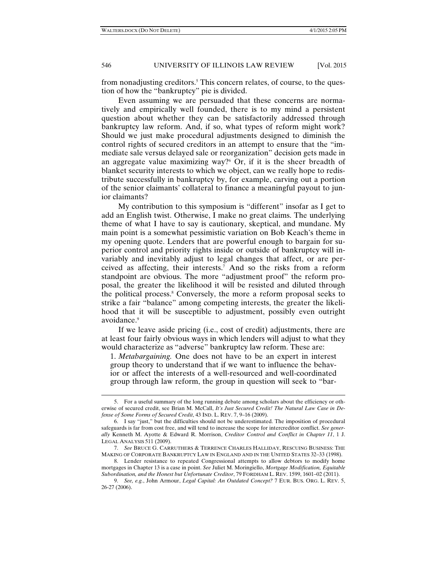from nonadjusting creditors.<sup>5</sup> This concern relates, of course, to the question of how the "bankruptcy" pie is divided.

Even assuming we are persuaded that these concerns are normatively and empirically well founded, there is to my mind a persistent question about whether they can be satisfactorily addressed through bankruptcy law reform. And, if so, what types of reform might work? Should we just make procedural adjustments designed to diminish the control rights of secured creditors in an attempt to ensure that the "immediate sale versus delayed sale or reorganization" decision gets made in an aggregate value maximizing way? $6$  Or, if it is the sheer breadth of blanket security interests to which we object, can we really hope to redistribute successfully in bankruptcy by, for example, carving out a portion of the senior claimants' collateral to finance a meaningful payout to junior claimants?

My contribution to this symposium is "different" insofar as I get to add an English twist. Otherwise, I make no great claims. The underlying theme of what I have to say is cautionary, skeptical, and mundane. My main point is a somewhat pessimistic variation on Bob Keach's theme in my opening quote. Lenders that are powerful enough to bargain for superior control and priority rights inside or outside of bankruptcy will invariably and inevitably adjust to legal changes that affect, or are perceived as affecting, their interests.7 And so the risks from a reform standpoint are obvious. The more "adjustment proof" the reform proposal, the greater the likelihood it will be resisted and diluted through the political process.<sup>8</sup> Conversely, the more a reform proposal seeks to strike a fair "balance" among competing interests, the greater the likelihood that it will be susceptible to adjustment, possibly even outright avoidance.<sup>9</sup>

If we leave aside pricing (i.e., cost of credit) adjustments, there are at least four fairly obvious ways in which lenders will adjust to what they would characterize as "adverse" bankruptcy law reform. These are:

1. *Metabargaining.* One does not have to be an expert in interest group theory to understand that if we want to influence the behavior or affect the interests of a well-resourced and well-coordinated group through law reform, the group in question will seek to "bar-

<sup>5.</sup> For a useful summary of the long running debate among scholars about the efficiency or otherwise of secured credit, see Brian M. McCall, *It's Just Secured Credit! The Natural Law Case in Defense of Some Forms of Secured Credit*, 43 IND. L. REV. 7, 9–16 (2009).

 <sup>6.</sup> I say "just," but the difficulties should not be underestimated. The imposition of procedural safeguards is far from cost free, and will tend to increase the scope for intercreditor conflict. *See generally* Kenneth M. Ayotte & Edward R. Morrison, *Creditor Control and Conflict in Chapter 11*, 1 J. LEGAL ANALYSIS 511 (2009).

 <sup>7.</sup> *See* BRUCE G. CARRUTHERS & TERRENCE CHARLES HALLIDAY, RESCUING BUSINESS: THE MAKING OF CORPORATE BANKRUPTCY LAW IN ENGLAND AND IN THE UNITED STATES 32–33 (1998).

 <sup>8.</sup> Lender resistance to repeated Congressional attempts to allow debtors to modify home mortgages in Chapter 13 is a case in point. *See* Juliet M. Moringiello, *Mortgage Modification, Equitable Subordination, and the Honest but Unfortunate Creditor*, 79 FORDHAM L. REV. 1599, 1601–02 (2011).

 <sup>9.</sup> *See, e.g.*, John Armour, *Legal Capital: An Outdated Concept?* 7 EUR. BUS. ORG. L. REV. 5, 26-27 (2006).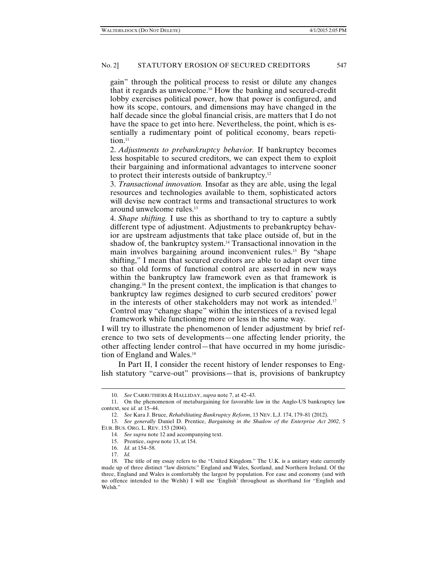gain" through the political process to resist or dilute any changes that it regards as unwelcome.10 How the banking and secured-credit lobby exercises political power, how that power is configured, and how its scope, contours, and dimensions may have changed in the half decade since the global financial crisis, are matters that I do not have the space to get into here. Nevertheless, the point, which is essentially a rudimentary point of political economy, bears repetition.<sup>11</sup>

2. *Adjustments to prebankruptcy behavior.* If bankruptcy becomes less hospitable to secured creditors, we can expect them to exploit their bargaining and informational advantages to intervene sooner to protect their interests outside of bankruptcy.12

3. *Transactional innovation.* Insofar as they are able, using the legal resources and technologies available to them, sophisticated actors will devise new contract terms and transactional structures to work around unwelcome rules.13

4. *Shape shifting.* I use this as shorthand to try to capture a subtly different type of adjustment. Adjustments to prebankruptcy behavior are upstream adjustments that take place outside of, but in the shadow of, the bankruptcy system.<sup>14</sup> Transactional innovation in the main involves bargaining around inconvenient rules.15 By "shape shifting," I mean that secured creditors are able to adapt over time so that old forms of functional control are asserted in new ways within the bankruptcy law framework even as that framework is changing.16 In the present context, the implication is that changes to bankruptcy law regimes designed to curb secured creditors' power in the interests of other stakeholders may not work as intended.17 Control may "change shape" within the interstices of a revised legal framework while functioning more or less in the same way.

I will try to illustrate the phenomenon of lender adjustment by brief reference to two sets of developments—one affecting lender priority, the other affecting lender control—that have occurred in my home jurisdiction of England and Wales.<sup>18</sup>

In Part II, I consider the recent history of lender responses to English statutory "carve-out" provisions—that is, provisions of bankruptcy

<sup>10.</sup> *See* CARRUTHERS & HALLIDAY, *supra* note 7, at 42–43.

 <sup>11.</sup> On the phenomenon of metabargaining for favorable law in the Anglo-US bankruptcy law context, see *id.* at 15–44.

 <sup>12.</sup> *See* Kara J. Bruce, *Rehabilitating Bankruptcy Reform*, 13 NEV. L.J. 174, 179–81 (2012).

 <sup>13.</sup> *See generally* Daniel D. Prentice, *Bargaining in the Shadow of the Enterprise Act 2002*, 5 EUR. BUS. ORG. L. REV. 153 (2004).

 <sup>14.</sup> *See supra* note 12 and accompanying text.

 <sup>15.</sup> Prentice, *supra* note 13, at 154.

 <sup>16.</sup> *Id.* at 154–58.

 <sup>17.</sup> *Id.*

 <sup>18.</sup> The title of my essay refers to the "United Kingdom." The U.K. is a unitary state currently made up of three distinct "law districts:" England and Wales, Scotland, and Northern Ireland. Of the three, England and Wales is comfortably the largest by population. For ease and economy (and with no offence intended to the Welsh) I will use 'English' throughout as shorthand for "English and Welsh."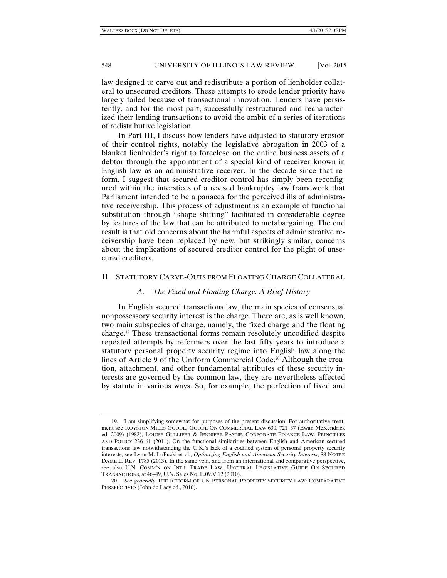$\overline{a}$ 

## 548 UNIVERSITY OF ILLINOIS LAW REVIEW [Vol. 2015]

law designed to carve out and redistribute a portion of lienholder collateral to unsecured creditors. These attempts to erode lender priority have largely failed because of transactional innovation. Lenders have persistently, and for the most part, successfully restructured and recharacterized their lending transactions to avoid the ambit of a series of iterations of redistributive legislation.

In Part III, I discuss how lenders have adjusted to statutory erosion of their control rights, notably the legislative abrogation in 2003 of a blanket lienholder's right to foreclose on the entire business assets of a debtor through the appointment of a special kind of receiver known in English law as an administrative receiver. In the decade since that reform, I suggest that secured creditor control has simply been reconfigured within the interstices of a revised bankruptcy law framework that Parliament intended to be a panacea for the perceived ills of administrative receivership. This process of adjustment is an example of functional substitution through "shape shifting" facilitated in considerable degree by features of the law that can be attributed to metabargaining. The end result is that old concerns about the harmful aspects of administrative receivership have been replaced by new, but strikingly similar, concerns about the implications of secured creditor control for the plight of unsecured creditors.

#### II. STATUTORY CARVE-OUTS FROM FLOATING CHARGE COLLATERAL

#### *A. The Fixed and Floating Charge: A Brief History*

In English secured transactions law, the main species of consensual nonpossessory security interest is the charge. There are, as is well known, two main subspecies of charge, namely, the fixed charge and the floating charge.19 These transactional forms remain resolutely uncodified despite repeated attempts by reformers over the last fifty years to introduce a statutory personal property security regime into English law along the lines of Article 9 of the Uniform Commercial Code.<sup>20</sup> Although the creation, attachment, and other fundamental attributes of these security interests are governed by the common law, they are nevertheless affected by statute in various ways. So, for example, the perfection of fixed and

<sup>19.</sup> I am simplifying somewhat for purposes of the present discussion. For authoritative treatment see ROYSTON MILES GOODE, GOODE ON COMMERCIAL LAW 630, 721–37 (Ewan McKendrick ed. 2009) (1982); LOUISE GULLIFER & JENNIFER PAYNE, CORPORATE FINANCE LAW: PRINCIPLES AND POLICY 236–61 (2011). On the functional similarities between English and American secured transactions law notwithstanding the U.K.'s lack of a codified system of personal property security interests, see Lynn M. LoPucki et al., *Optimizing English and American Security Interests*, 88 NOTRE DAME L. REV. 1785 (2013). In the same vein, and from an international and comparative perspective, see also U.N. COMM'N ON INT'L TRADE LAW, UNCITRAL LEGISLATIVE GUIDE ON SECURED TRANSACTIONS, at 46–49, U.N. Sales No. E.09.V.12 (2010).

 <sup>20.</sup> *See generally* THE REFORM OF UK PERSONAL PROPERTY SECURITY LAW: COMPARATIVE PERSPECTIVES (John de Lacy ed., 2010).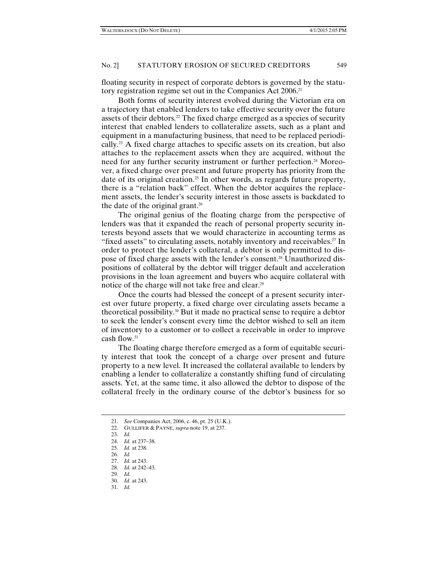floating security in respect of corporate debtors is governed by the statutory registration regime set out in the Companies Act 2006.<sup>21</sup>

Both forms of security interest evolved during the Victorian era on a trajectory that enabled lenders to take effective security over the future assets of their debtors.<sup>22</sup> The fixed charge emerged as a species of security interest that enabled lenders to collateralize assets, such as a plant and equipment in a manufacturing business, that need to be replaced periodically.23 A fixed charge attaches to specific assets on its creation, but also attaches to the replacement assets when they are acquired, without the need for any further security instrument or further perfection.24 Moreover, a fixed charge over present and future property has priority from the date of its original creation.<sup>25</sup> In other words, as regards future property, there is a "relation back" effect. When the debtor acquires the replacement assets, the lender's security interest in those assets is backdated to the date of the original grant.<sup>26</sup>

The original genius of the floating charge from the perspective of lenders was that it expanded the reach of personal property security interests beyond assets that we would characterize in accounting terms as "fixed assets" to circulating assets, notably inventory and receivables.<sup>27</sup> In order to protect the lender's collateral, a debtor is only permitted to dispose of fixed charge assets with the lender's consent.28 Unauthorized dispositions of collateral by the debtor will trigger default and acceleration provisions in the loan agreement and buyers who acquire collateral with notice of the charge will not take free and clear.29

Once the courts had blessed the concept of a present security interest over future property, a fixed charge over circulating assets became a theoretical possibility.30 But it made no practical sense to require a debtor to seek the lender's consent every time the debtor wished to sell an item of inventory to a customer or to collect a receivable in order to improve cash flow.31

The floating charge therefore emerged as a form of equitable security interest that took the concept of a charge over present and future property to a new level. It increased the collateral available to lenders by enabling a lender to collateralize a constantly shifting fund of circulating assets. Yet, at the same time, it also allowed the debtor to dispose of the collateral freely in the ordinary course of the debtor's business for so

<sup>21.</sup> *See* Companies Act, 2006, c. 46, pt. 25 (U.K.).

 <sup>22.</sup> GULLIFER & PAYNE, *supra* note 19, at 237.

 <sup>23.</sup> *Id.*

 <sup>24.</sup> *Id.* at 237–38.

 <sup>25.</sup> *Id.* at 238.

 <sup>26.</sup> *Id.*

 <sup>27.</sup> *Id.* at 243.

 <sup>28.</sup> *Id.* at 242–43. 29. *Id.*

 <sup>30.</sup> *Id.* at 243.

 <sup>31.</sup> *Id.*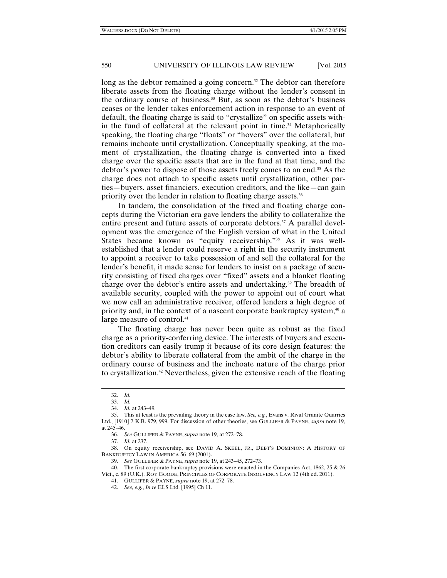long as the debtor remained a going concern.<sup>32</sup> The debtor can therefore liberate assets from the floating charge without the lender's consent in the ordinary course of business.<sup>33</sup> But, as soon as the debtor's business ceases or the lender takes enforcement action in response to an event of default, the floating charge is said to "crystallize" on specific assets within the fund of collateral at the relevant point in time.34 Metaphorically speaking, the floating charge "floats" or "hovers" over the collateral, but remains inchoate until crystallization. Conceptually speaking, at the moment of crystallization, the floating charge is converted into a fixed charge over the specific assets that are in the fund at that time, and the debtor's power to dispose of those assets freely comes to an end.35 As the charge does not attach to specific assets until crystallization, other parties—buyers, asset financiers, execution creditors, and the like—can gain priority over the lender in relation to floating charge assets.36

In tandem, the consolidation of the fixed and floating charge concepts during the Victorian era gave lenders the ability to collateralize the entire present and future assets of corporate debtors.<sup>37</sup> A parallel development was the emergence of the English version of what in the United States became known as "equity receivership."<sup>38</sup> As it was wellestablished that a lender could reserve a right in the security instrument to appoint a receiver to take possession of and sell the collateral for the lender's benefit, it made sense for lenders to insist on a package of security consisting of fixed charges over "fixed" assets and a blanket floating charge over the debtor's entire assets and undertaking.<sup>39</sup> The breadth of available security, coupled with the power to appoint out of court what we now call an administrative receiver, offered lenders a high degree of priority and, in the context of a nascent corporate bankruptcy system,<sup>40</sup> a large measure of control.<sup>41</sup>

The floating charge has never been quite as robust as the fixed charge as a priority-conferring device. The interests of buyers and execution creditors can easily trump it because of its core design features: the debtor's ability to liberate collateral from the ambit of the charge in the ordinary course of business and the inchoate nature of the charge prior to crystallization.42 Nevertheless, given the extensive reach of the floating

 $\overline{a}$ 

37. *Id.* at 237.

 38. On equity receivership, see DAVID A. SKEEL, JR., DEBT'S DOMINION: A HISTORY OF BANKRUPTCY LAW IN AMERICA 56–69 (2001).

39. *See* GULLIFER & PAYNE, *supra* note 19, at 243–45, 272–73.

 40. The first corporate bankruptcy provisions were enacted in the Companies Act, 1862, 25 & 26 Vict., c. 89 (U.K.). ROY GOODE, PRINCIPLES OF CORPORATE INSOLVENCY LAW 12 (4th ed. 2011).

<sup>32.</sup> *Id.*

 <sup>33.</sup> *Id.*

 <sup>34.</sup> *Id.* at 243–49.

 <sup>35.</sup> This at least is the prevailing theory in the case law. *See, e.g.*, Evans v. Rival Granite Quarries Ltd., [1910] 2 K.B. 979, 999. For discussion of other theories, see GULLIFER & PAYNE, *supra* note 19, at 245–46.

 <sup>36.</sup> *See* GULLIFER & PAYNE, *supra* note 19, at 272–78.

 <sup>41.</sup> GULLIFER & PAYNE, *supra* note 19, at 272–78.

 <sup>42.</sup> *See, e.g.*, *In re* ELS Ltd. [1995] Ch 11.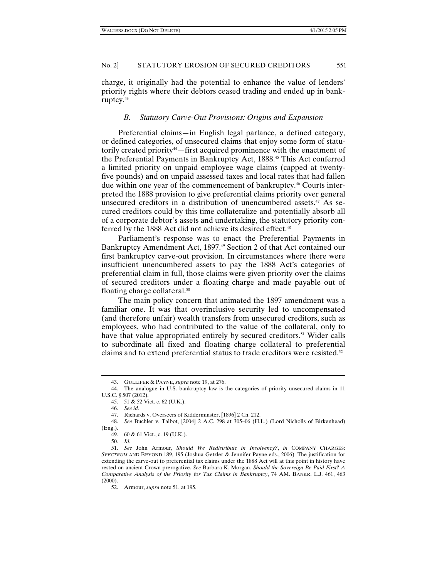charge, it originally had the potential to enhance the value of lenders' priority rights where their debtors ceased trading and ended up in bankruptcy.<sup>43</sup>

#### *B. Statutory Carve-Out Provisions: Origins and Expansion*

Preferential claims—in English legal parlance, a defined category, or defined categories, of unsecured claims that enjoy some form of statutorily created priority44—first acquired prominence with the enactment of the Preferential Payments in Bankruptcy Act, 1888.<sup>45</sup> This Act conferred a limited priority on unpaid employee wage claims (capped at twentyfive pounds) and on unpaid assessed taxes and local rates that had fallen due within one year of the commencement of bankruptcy.46 Courts interpreted the 1888 provision to give preferential claims priority over general unsecured creditors in a distribution of unencumbered assets.47 As secured creditors could by this time collateralize and potentially absorb all of a corporate debtor's assets and undertaking, the statutory priority conferred by the 1888 Act did not achieve its desired effect.<sup>48</sup>

Parliament's response was to enact the Preferential Payments in Bankruptcy Amendment Act, 1897.<sup>49</sup> Section 2 of that Act contained our first bankruptcy carve-out provision. In circumstances where there were insufficient unencumbered assets to pay the 1888 Act's categories of preferential claim in full, those claims were given priority over the claims of secured creditors under a floating charge and made payable out of floating charge collateral.50

The main policy concern that animated the 1897 amendment was a familiar one. It was that overinclusive security led to uncompensated (and therefore unfair) wealth transfers from unsecured creditors, such as employees, who had contributed to the value of the collateral, only to have that value appropriated entirely by secured creditors.<sup>51</sup> Wider calls to subordinate all fixed and floating charge collateral to preferential claims and to extend preferential status to trade creditors were resisted.<sup>52</sup>

 $\overline{a}$ 

 48. *See* Buchler v. Talbot, [2004] 2 A.C. 298 at 305–06 (H.L.) (Lord Nicholls of Birkenhead) (Eng.).

50. *Id.*

<sup>43.</sup> GULLIFER & PAYNE, *supra* note 19, at 276.

 <sup>44.</sup> The analogue in U.S. bankruptcy law is the categories of priority unsecured claims in 11 U.S.C. § 507 (2012).

 <sup>45. 51 &</sup>amp; 52 Vict. c. 62 (U.K.).

 <sup>46.</sup> *See id.*

 <sup>47.</sup> Richards v. Overseers of Kidderminster, [1896] 2 Ch. 212.

 <sup>49. 60 &</sup>amp; 61 Vict., c. 19 (U.K.).

 <sup>51.</sup> *See* John Armour, *Should We Redistribute in Insolvency?*, *in* COMPANY CHARGES: *SPECTRUM* AND BEYOND 189, 195 (Joshua Getzler & Jennifer Payne eds., 2006). The justification for extending the carve-out to preferential tax claims under the 1888 Act will at this point in history have rested on ancient Crown prerogative. *See* Barbara K. Morgan, *Should the Sovereign Be Paid First? A Comparative Analysis of the Priority for Tax Claims in Bankruptcy*, 74 AM. BANKR. L.J. 461, 463 (2000).

 <sup>52.</sup> Armour, *supra* note 51, at 195.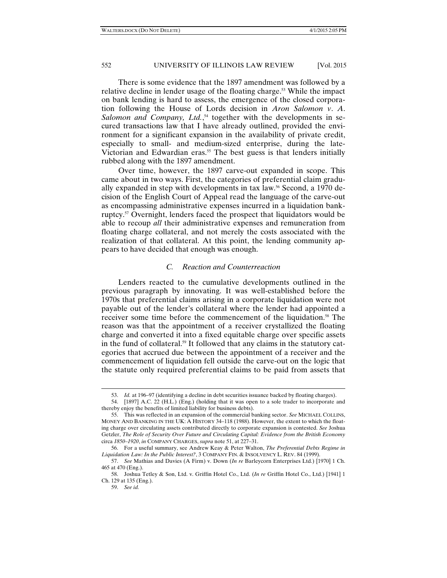There is some evidence that the 1897 amendment was followed by a relative decline in lender usage of the floating charge.<sup>53</sup> While the impact on bank lending is hard to assess, the emergence of the closed corporation following the House of Lords decision in *Aron Salomon v*. *A*. Salomon and Company, Ltd.,<sup>54</sup> together with the developments in secured transactions law that I have already outlined, provided the environment for a significant expansion in the availability of private credit, especially to small- and medium-sized enterprise, during the late-Victorian and Edwardian eras.<sup>55</sup> The best guess is that lenders initially rubbed along with the 1897 amendment.

Over time, however, the 1897 carve-out expanded in scope. This came about in two ways. First, the categories of preferential claim gradually expanded in step with developments in tax law.56 Second, a 1970 decision of the English Court of Appeal read the language of the carve-out as encompassing administrative expenses incurred in a liquidation bankruptcy.57 Overnight, lenders faced the prospect that liquidators would be able to recoup *all* their administrative expenses and remuneration from floating charge collateral, and not merely the costs associated with the realization of that collateral. At this point, the lending community appears to have decided that enough was enough.

#### *C. Reaction and Counterreaction*

Lenders reacted to the cumulative developments outlined in the previous paragraph by innovating. It was well-established before the 1970s that preferential claims arising in a corporate liquidation were not payable out of the lender's collateral where the lender had appointed a receiver some time before the commencement of the liquidation.<sup>58</sup> The reason was that the appointment of a receiver crystallized the floating charge and converted it into a fixed equitable charge over specific assets in the fund of collateral.59 It followed that any claims in the statutory categories that accrued due between the appointment of a receiver and the commencement of liquidation fell outside the carve-out on the logic that the statute only required preferential claims to be paid from assets that

<sup>53.</sup> *Id.* at 196–97 (identifying a decline in debt securities issuance backed by floating charges).

 <sup>54. [1897]</sup> A.C. 22 (H.L.) (Eng.) (holding that it was open to a sole trader to incorporate and thereby enjoy the benefits of limited liability for business debts).

 <sup>55.</sup> This was reflected in an expansion of the commercial banking sector. *See* MICHAEL COLLINS, MONEY AND BANKING IN THE UK: A HISTORY 34–118 (1988). However, the extent to which the floating charge over circulating assets contributed directly to corporate expansion is contested. *See* Joshua Getzler, *The Role of Security Over Future and Circulating Capital: Evidence from the British Economy*  circa *1850–1920*, *in* COMPANY CHARGES, *supra* note 51, at 227–31.

 <sup>56.</sup> For a useful summary, see Andrew Keay & Peter Walton, *The Preferential Debts Regime in Liquidation Law: In the Public Interest?*, 3 COMPANY FIN. & INSOLVENCY L. REV. 84 (1999).

 <sup>57.</sup> *See* Mathias and Davies (A Firm) v. Down (*In re* Barleycorn Enterprises Ltd.) [1970] 1 Ch. 465 at 470 (Eng.).

 <sup>58.</sup> Joshua Tetley & Son, Ltd. v. Griffin Hotel Co., Ltd. (*In re* Griffin Hotel Co., Ltd.) [1941] 1 Ch. 129 at 135 (Eng.).

 <sup>59.</sup> *See id.*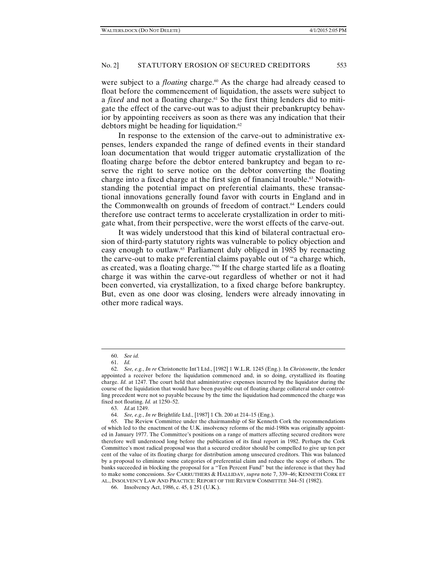were subject to a *floating* charge.<sup>60</sup> As the charge had already ceased to float before the commencement of liquidation, the assets were subject to a *fixed* and not a floating charge.<sup>61</sup> So the first thing lenders did to mitigate the effect of the carve-out was to adjust their prebankruptcy behavior by appointing receivers as soon as there was any indication that their debtors might be heading for liquidation. $62$ 

In response to the extension of the carve-out to administrative expenses, lenders expanded the range of defined events in their standard loan documentation that would trigger automatic crystallization of the floating charge before the debtor entered bankruptcy and began to reserve the right to serve notice on the debtor converting the floating charge into a fixed charge at the first sign of financial trouble.<sup>63</sup> Notwithstanding the potential impact on preferential claimants, these transactional innovations generally found favor with courts in England and in the Commonwealth on grounds of freedom of contract.64 Lenders could therefore use contract terms to accelerate crystallization in order to mitigate what, from their perspective, were the worst effects of the carve-out.

It was widely understood that this kind of bilateral contractual erosion of third-party statutory rights was vulnerable to policy objection and easy enough to outlaw.<sup>65</sup> Parliament duly obliged in 1985 by reenacting the carve-out to make preferential claims payable out of "a charge which, as created, was a floating charge."66 If the charge started life as a floating charge it was within the carve-out regardless of whether or not it had been converted, via crystallization, to a fixed charge before bankruptcy. But, even as one door was closing, lenders were already innovating in other more radical ways.

<sup>60.</sup> *See id.*

 <sup>61.</sup> *Id.*

 <sup>62.</sup> *See, e.g.*, *In re* Christonette Int'l Ltd., [1982] 1 W.L.R. 1245 (Eng.). In *Christonette*, the lender appointed a receiver before the liquidation commenced and, in so doing, crystallized its floating charge. *Id.* at 1247. The court held that administrative expenses incurred by the liquidator during the course of the liquidation that would have been payable out of floating charge collateral under controlling precedent were not so payable because by the time the liquidation had commenced the charge was fixed not floating. *Id.* at 1250–52.

 <sup>63.</sup> *Id.*at 1249.

 <sup>64.</sup> *See, e.g.*, *In re* Brightlife Ltd., [1987] 1 Ch. 200 at 214–15 (Eng.).

 <sup>65.</sup> The Review Committee under the chairmanship of Sir Kenneth Cork the recommendations of which led to the enactment of the U.K. insolvency reforms of the mid-1980s was originally appointed in January 1977. The Committee's positions on a range of matters affecting secured creditors were therefore well understood long before the publication of its final report in 1982. Perhaps the Cork Committee's most radical proposal was that a secured creditor should be compelled to give up ten per cent of the value of its floating charge for distribution among unsecured creditors. This was balanced by a proposal to eliminate some categories of preferential claim and reduce the scope of others. The banks succeeded in blocking the proposal for a "Ten Percent Fund" but the inference is that they had to make some concessions. *See* CARRUTHERS & HALLIDAY, *supra* note 7, 339–46; KENNETH CORK ET AL., INSOLVENCY LAW AND PRACTICE: REPORT OF THE REVIEW COMMITTEE 344–51 (1982).

 <sup>66.</sup> Insolvency Act, 1986, c. 45, § 251 (U.K.).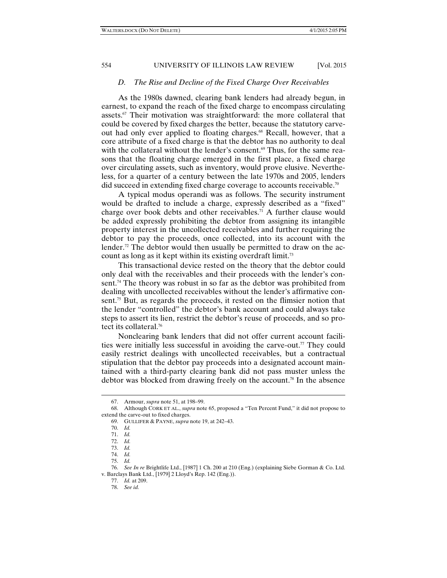### *D. The Rise and Decline of the Fixed Charge Over Receivables*

As the 1980s dawned, clearing bank lenders had already begun, in earnest, to expand the reach of the fixed charge to encompass circulating assets.67 Their motivation was straightforward: the more collateral that could be covered by fixed charges the better, because the statutory carveout had only ever applied to floating charges.<sup>68</sup> Recall, however, that a core attribute of a fixed charge is that the debtor has no authority to deal with the collateral without the lender's consent.<sup>69</sup> Thus, for the same reasons that the floating charge emerged in the first place, a fixed charge over circulating assets, such as inventory, would prove elusive. Nevertheless, for a quarter of a century between the late 1970s and 2005, lenders did succeed in extending fixed charge coverage to accounts receivable.70

A typical modus operandi was as follows. The security instrument would be drafted to include a charge, expressly described as a "fixed" charge over book debts and other receivables.<sup>71</sup> A further clause would be added expressly prohibiting the debtor from assigning its intangible property interest in the uncollected receivables and further requiring the debtor to pay the proceeds, once collected, into its account with the lender.<sup>72</sup> The debtor would then usually be permitted to draw on the account as long as it kept within its existing overdraft limit.73

This transactional device rested on the theory that the debtor could only deal with the receivables and their proceeds with the lender's consent.74 The theory was robust in so far as the debtor was prohibited from dealing with uncollected receivables without the lender's affirmative consent.<sup>75</sup> But, as regards the proceeds, it rested on the flimsier notion that the lender "controlled" the debtor's bank account and could always take steps to assert its lien, restrict the debtor's reuse of proceeds, and so protect its collateral.76

Nonclearing bank lenders that did not offer current account facilities were initially less successful in avoiding the carve-out.<sup> $\pi$ </sup> They could easily restrict dealings with uncollected receivables, but a contractual stipulation that the debtor pay proceeds into a designated account maintained with a third-party clearing bank did not pass muster unless the debtor was blocked from drawing freely on the account.<sup>78</sup> In the absence

<sup>67.</sup> Armour, *supra* note 51, at 198–99.

 <sup>68.</sup> Although CORK ET AL., *supra* note 65, proposed a "Ten Percent Fund," it did not propose to extend the carve-out to fixed charges.

 <sup>69.</sup> GULLIFER & PAYNE, *supra* note 19, at 242–43.

 <sup>70.</sup> *Id.*

 <sup>71.</sup> *Id.*

 <sup>72.</sup> *Id.*

 <sup>73.</sup> *Id.*

 <sup>74.</sup> *Id.*

 <sup>75.</sup> *Id.*

 <sup>76.</sup> *See In re* Brightlife Ltd., [1987] 1 Ch. 200 at 210 (Eng.) (explaining Siebe Gorman & Co. Ltd. v. Barclays Bank Ltd., [1979] 2 Lloyd's Rep. 142 (Eng.)).

 <sup>77.</sup> *Id.* at 209.

 <sup>78.</sup> *See id.*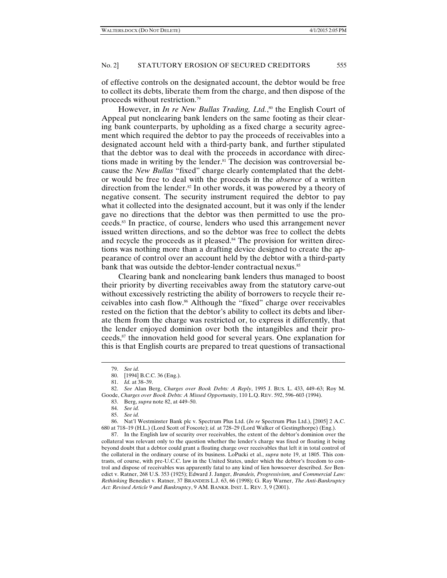of effective controls on the designated account, the debtor would be free to collect its debts, liberate them from the charge, and then dispose of the proceeds without restriction.79

However, in *In re New Bullas Trading, Ltd.*, 80 the English Court of Appeal put nonclearing bank lenders on the same footing as their clearing bank counterparts, by upholding as a fixed charge a security agreement which required the debtor to pay the proceeds of receivables into a designated account held with a third-party bank, and further stipulated that the debtor was to deal with the proceeds in accordance with directions made in writing by the lender.<sup>81</sup> The decision was controversial because the *New Bullas* "fixed" charge clearly contemplated that the debtor would be free to deal with the proceeds in the *absence* of a written direction from the lender.<sup>82</sup> In other words, it was powered by a theory of negative consent. The security instrument required the debtor to pay what it collected into the designated account, but it was only if the lender gave no directions that the debtor was then permitted to use the proceeds.83 In practice, of course, lenders who used this arrangement never issued written directions, and so the debtor was free to collect the debts and recycle the proceeds as it pleased.<sup>84</sup> The provision for written directions was nothing more than a drafting device designed to create the appearance of control over an account held by the debtor with a third-party bank that was outside the debtor-lender contractual nexus.<sup>85</sup>

Clearing bank and nonclearing bank lenders thus managed to boost their priority by diverting receivables away from the statutory carve-out without excessively restricting the ability of borrowers to recycle their receivables into cash flow.<sup>86</sup> Although the "fixed" charge over receivables rested on the fiction that the debtor's ability to collect its debts and liberate them from the charge was restricted or, to express it differently, that the lender enjoyed dominion over both the intangibles and their proceeds,87 the innovation held good for several years. One explanation for this is that English courts are prepared to treat questions of transactional

<sup>79.</sup> *See id.*

 <sup>80. [1994]</sup> B.C.C. 36 (Eng.).

 <sup>81.</sup> *Id.* at 38–39.

 <sup>82.</sup> *See* Alan Berg, *Charges over Book Debts: A Reply*, 1995 J. BUS. L. 433, 449–63; Roy M. Goode, *Charges over Book Debts: A Missed Opportunity*, 110 L.Q. REV. 592, 596–603 (1994).

 <sup>83.</sup> Berg, *supra* note 82, at 449–50.

 <sup>84.</sup> *See id.*

 <sup>85.</sup> *See id.*

 <sup>86.</sup> Nat'l Westminster Bank plc v. Spectrum Plus Ltd. (*In re* Spectrum Plus Ltd.), [2005] 2 A.C. 680 at 718–19 (H.L.) (Lord Scott of Foscote); *id.* at 728–29 (Lord Walker of Gestingthorpe) (Eng.).

 <sup>87.</sup> In the English law of security over receivables, the extent of the debtor's dominion over the collateral was relevant only to the question whether the lender's charge was fixed or floating it being beyond doubt that a debtor could grant a floating charge over receivables that left it in total control of the collateral in the ordinary course of its business. LoPucki et al., *supra* note 19, at 1805. This contrasts, of course, with pre-U.C.C. law in the United States, under which the debtor's freedom to control and dispose of receivables was apparently fatal to any kind of lien howsoever described. *See* Benedict v. Ratner, 268 U.S. 353 (1925); Edward J. Janger, *Brandeis, Progressivism, and Commercial Law: Rethinking* Benedict v. Ratner, 37 BRANDEIS L.J. 63, 66 (1998); G. Ray Warner, *The Anti-Bankruptcy Act: Revised Article 9 and Bankruptcy*, 9 AM. BANKR. INST. L. REV. 3, 9 (2001).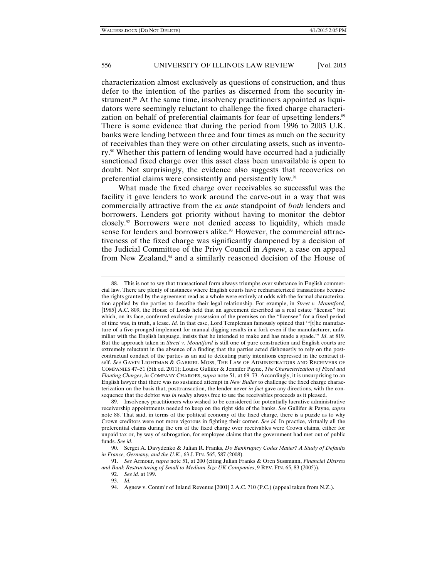characterization almost exclusively as questions of construction, and thus defer to the intention of the parties as discerned from the security instrument.<sup>88</sup> At the same time, insolvency practitioners appointed as liquidators were seemingly reluctant to challenge the fixed charge characterization on behalf of preferential claimants for fear of upsetting lenders.<sup>89</sup> There is some evidence that during the period from 1996 to 2003 U.K. banks were lending between three and four times as much on the security of receivables than they were on other circulating assets, such as inventory.<sup>90</sup> Whether this pattern of lending would have occurred had a judicially sanctioned fixed charge over this asset class been unavailable is open to doubt. Not surprisingly, the evidence also suggests that recoveries on preferential claims were consistently and persistently low.91

What made the fixed charge over receivables so successful was the facility it gave lenders to work around the carve-out in a way that was commercially attractive from the *ex ante* standpoint of *both* lenders and borrowers. Lenders got priority without having to monitor the debtor closely.<sup>92</sup> Borrowers were not denied access to liquidity, which made sense for lenders and borrowers alike.<sup>93</sup> However, the commercial attractiveness of the fixed charge was significantly dampened by a decision of the Judicial Committee of the Privy Council in *Agnew*, a case on appeal from New Zealand,<sup>94</sup> and a similarly reasoned decision of the House of

<sup>88.</sup> This is not to say that transactional form always triumphs over substance in English commercial law. There are plenty of instances where English courts have recharacterized transactions because the rights granted by the agreement read as a whole were entirely at odds with the formal characterization applied by the parties to describe their legal relationship. For example, in *Street v. Mountford*, [1985] A.C. 809, the House of Lords held that an agreement described as a real estate "license" but which, on its face, conferred exclusive possession of the premises on the "licensee" for a fixed period of time was, in truth, a lease. *Id.* In that case, Lord Templeman famously opined that '"[t]he manufacture of a five-pronged implement for manual digging results in a fork even if the manufacturer, unfamiliar with the English language, insists that he intended to make and has made a spade."' *Id*. at 819. But the approach taken in *Street v. Mountford* is still one of pure construction and English courts are extremely reluctant in the absence of a finding that the parties acted dishonestly to rely on the postcontractual conduct of the parties as an aid to defeating party intentions expressed in the contract itself. *See* GAVIN LIGHTMAN & GABRIEL MOSS, THE LAW OF ADMINISTRATORS AND RECEIVERS OF COMPANIES 47–51 (5th ed. 2011); Louise Gullifer & Jennifer Payne, *The Characterization of Fixed and Floating Charges*, *in* COMPANY CHARGES, *supra* note 51, at 69–73. Accordingly, it is unsurprising to an English lawyer that there was no sustained attempt in *New Bullas* to challenge the fixed charge characterization on the basis that, posttransaction, the lender never *in fact* gave any directions, with the consequence that the debtor was *in reality* always free to use the receivables proceeds as it pleased.

 <sup>89.</sup> Insolvency practitioners who wished to be considered for potentially lucrative administrative receivership appointments needed to keep on the right side of the banks. *See* Gullifer & Payne, *supra* note 88. That said, in terms of the political economy of the fixed charge, there is a puzzle as to why Crown creditors were not more vigorous in fighting their corner. *See id.* In practice, virtually all the preferential claims during the era of the fixed charge over receivables were Crown claims, either for unpaid tax or, by way of subrogation, for employee claims that the government had met out of public funds. *See id.*

 <sup>90.</sup> Sergei A. Davydenko & Julian R. Franks, *Do Bankruptcy Codes Matter? A Study of Defaults in France, Germany, and the U.K.*, 63 J. FIN. 565, 587 (2008).

 <sup>91.</sup> *See* Armour, *supra* note 51, at 200 (citing Julian Franks & Oren Sussmann, *Financial Distress and Bank Restructuring of Small to Medium Size UK Companies*, 9 REV. FIN. 65, 83 (2005)).

 <sup>92.</sup> *See id.* at 199.

 <sup>93.</sup> *Id.*

 <sup>94.</sup> Agnew v. Comm'r of Inland Revenue [2001] 2 A.C. 710 (P.C.) (appeal taken from N.Z.).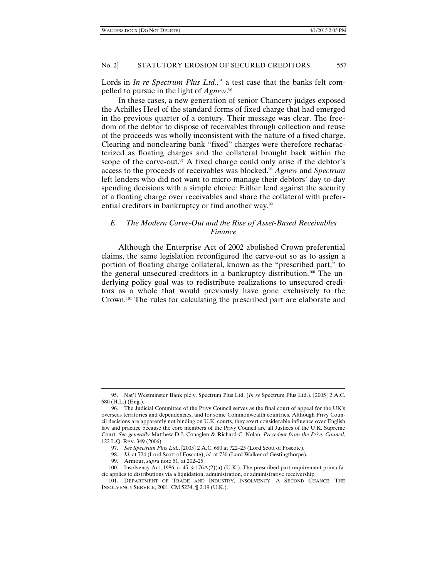Lords in *In re Spectrum Plus Ltd.*,<sup>95</sup> a test case that the banks felt compelled to pursue in the light of *Agnew*. 96

In these cases, a new generation of senior Chancery judges exposed the Achilles Heel of the standard forms of fixed charge that had emerged in the previous quarter of a century. Their message was clear. The freedom of the debtor to dispose of receivables through collection and reuse of the proceeds was wholly inconsistent with the nature of a fixed charge. Clearing and nonclearing bank "fixed" charges were therefore recharacterized as floating charges and the collateral brought back within the scope of the carve-out.<sup>97</sup> A fixed charge could only arise if the debtor's access to the proceeds of receivables was blocked.98 *Agnew* and *Spectrum*  left lenders who did not want to micro-manage their debtors' day-to-day spending decisions with a simple choice: Either lend against the security of a floating charge over receivables and share the collateral with preferential creditors in bankruptcy or find another way.<sup>99</sup>

# *E. The Modern Carve-Out and the Rise of Asset-Based Receivables Finance*

Although the Enterprise Act of 2002 abolished Crown preferential claims, the same legislation reconfigured the carve-out so as to assign a portion of floating charge collateral, known as the "prescribed part," to the general unsecured creditors in a bankruptcy distribution.100 The underlying policy goal was to redistribute realizations to unsecured creditors as a whole that would previously have gone exclusively to the Crown.101 The rules for calculating the prescribed part are elaborate and

<sup>95.</sup> Nat'l Westminster Bank plc v. Spectrum Plus Ltd. (*In re* Spectrum Plus Ltd.), [2005] 2 A.C. 680 (H.L.) (Eng.).

 <sup>96.</sup> The Judicial Committee of the Privy Council serves as the final court of appeal for the UK's overseas territories and dependencies, and for some Commonwealth countries. Although Privy Council decisions are apparently not binding on U.K. courts, they exert considerable influence over English law and practice because the core members of the Privy Council are all Justices of the U.K. Supreme Court. *See generally* Matthew D.J. Conaglen & Richard C. Nolan, *Precedent from the Privy Council*, 122 L.Q. REV. 349 (2006).

 <sup>97.</sup> *See Spectrum Plus Ltd.*, [2005] 2 A.C. 680 at 722–25 (Lord Scott of Foscote).

 <sup>98.</sup> *Id.* at 724 (Lord Scott of Foscote); *id.* at 730 (Lord Walker of Gestingthorpe).

 <sup>99.</sup> Armour, *supra* note 51, at 202–25.

 <sup>100.</sup> Insolvency Act, 1986, c. 45, § 176A(2)(a) (U.K.). The prescribed part requirement prima facie applies to distributions via a liquidation, administration, or administrative receivership.

 <sup>101.</sup> DEPARTMENT OF TRADE AND INDUSTRY, INSOLVENCY—A SECOND CHANCE: THE INSOLVENCY SERVICE, 2001, CM 5234, ¶ 2.19 (U.K.).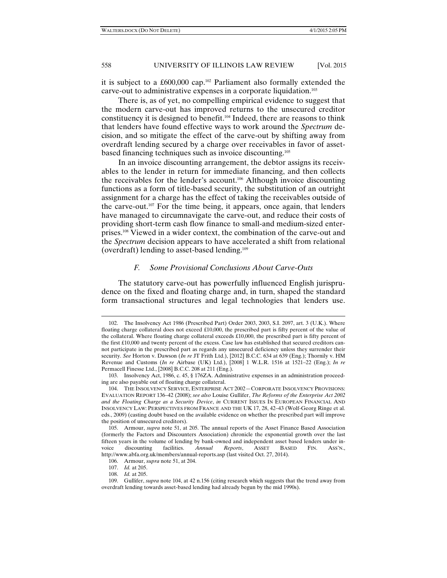it is subject to a £600,000 cap.<sup>102</sup> Parliament also formally extended the carve-out to administrative expenses in a corporate liquidation.<sup>103</sup>

There is, as of yet, no compelling empirical evidence to suggest that the modern carve-out has improved returns to the unsecured creditor constituency it is designed to benefit.104 Indeed, there are reasons to think that lenders have found effective ways to work around the *Spectrum* decision, and so mitigate the effect of the carve-out by shifting away from overdraft lending secured by a charge over receivables in favor of assetbased financing techniques such as invoice discounting.105

In an invoice discounting arrangement, the debtor assigns its receivables to the lender in return for immediate financing, and then collects the receivables for the lender's account.<sup>106</sup> Although invoice discounting functions as a form of title-based security, the substitution of an outright assignment for a charge has the effect of taking the receivables outside of the carve-out.<sup>107</sup> For the time being, it appears, once again, that lenders have managed to circumnavigate the carve-out, and reduce their costs of providing short-term cash flow finance to small-and medium-sized enterprises.108 Viewed in a wider context, the combination of the carve-out and the *Spectrum* decision appears to have accelerated a shift from relational (overdraft) lending to asset-based lending.109

#### *F. Some Provisional Conclusions About Carve-Outs*

The statutory carve-out has powerfully influenced English jurisprudence on the fixed and floating charge and, in turn, shaped the standard form transactional structures and legal technologies that lenders use.

<sup>102.</sup> The Insolvency Act 1986 (Prescribed Part) Order 2003, 2003, S.I. 2097, art. 3 (U.K.). Where floating charge collateral does not exceed £10,000, the prescribed part is fifty percent of the value of the collateral. Where floating charge collateral exceeds £10,000, the prescribed part is fifty percent of the first £10,000 and twenty percent of the excess. Case law has established that secured creditors cannot participate in the prescribed part as regards any unsecured deficiency unless they surrender their security. *See* Horton v. Dawson (*In re* JT Frith Ltd.), [2012] B.C.C. 634 at 639 (Eng.); Thornily v. HM Revenue and Customs (*In re* Airbase (UK) Ltd.), [2008] 1 W.L.R. 1516 at 1521–22 (Eng.); *In re* Permacell Finesse Ltd., [2008] B.C.C. 208 at 211 (Eng.).

 <sup>103.</sup> Insolvency Act, 1986, c. 45, § 176ZA. Administrative expenses in an administration proceeding are also payable out of floating charge collateral.

 <sup>104.</sup> THE INSOLVENCY SERVICE, ENTERPRISE ACT 2002—CORPORATE INSOLVENCY PROVISIONS: EVALUATION REPORT 136–42 (2008); *see also* Louise Gullifer, *The Reforms of the Enterprise Act 2002 and the Floating Charge as a Security Device*, *in* CURRENT ISSUES IN EUROPEAN FINANCIAL AND INSOLVENCY LAW: PERSPECTIVES FROM FRANCE AND THE UK 17, 28, 42–43 (Wolf-Georg Ringe et al. eds., 2009) (casting doubt based on the available evidence on whether the prescribed part will improve the position of unsecured creditors).

 <sup>105.</sup> Armour, *supra* note 51, at 205. The annual reports of the Asset Finance Based Association (formerly the Factors and Discounters Association) chronicle the exponential growth over the last fifteen years in the volume of lending by bank-owned and independent asset based lenders under invoice discounting facilities. *Annual Reports*, ASSET BASED FIN. ASS'N., http://www.abfa.org.uk/members/annual-reports.asp (last visited Oct. 27, 2014).

 <sup>106.</sup> Armour, *supra* note 51, at 204.

 <sup>107.</sup> *Id.* at 205.

 <sup>108.</sup> *Id.* at 205.

 <sup>109.</sup> Gullifer, *supra* note 104, at 42 n.156 (citing research which suggests that the trend away from overdraft lending towards asset-based lending had already begun by the mid 1990s).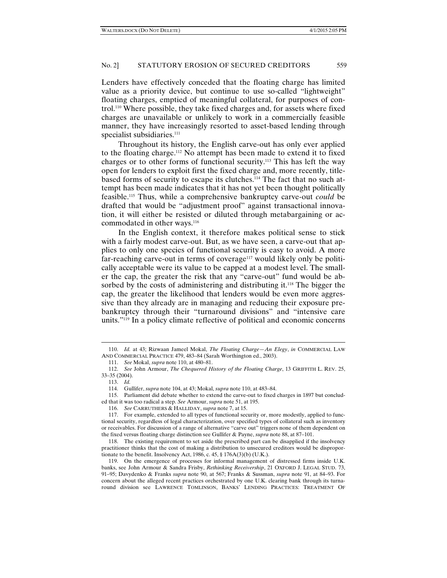Lenders have effectively conceded that the floating charge has limited value as a priority device, but continue to use so-called "lightweight" floating charges, emptied of meaningful collateral, for purposes of control.110 Where possible, they take fixed charges and, for assets where fixed charges are unavailable or unlikely to work in a commercially feasible manner, they have increasingly resorted to asset-based lending through specialist subsidiaries.<sup>111</sup>

Throughout its history, the English carve-out has only ever applied to the floating charge.112 No attempt has been made to extend it to fixed charges or to other forms of functional security.113 This has left the way open for lenders to exploit first the fixed charge and, more recently, titlebased forms of security to escape its clutches.114 The fact that no such attempt has been made indicates that it has not yet been thought politically feasible.115 Thus, while a comprehensive bankruptcy carve-out *could* be drafted that would be "adjustment proof" against transactional innovation, it will either be resisted or diluted through metabargaining or accommodated in other ways.<sup>116</sup>

In the English context, it therefore makes political sense to stick with a fairly modest carve-out. But, as we have seen, a carve-out that applies to only one species of functional security is easy to avoid. A more far-reaching carve-out in terms of coverage<sup>117</sup> would likely only be politically acceptable were its value to be capped at a modest level. The smaller the cap, the greater the risk that any "carve-out" fund would be absorbed by the costs of administering and distributing it.<sup>118</sup> The bigger the cap, the greater the likelihood that lenders would be even more aggressive than they already are in managing and reducing their exposure prebankruptcy through their "turnaround divisions" and "intensive care units."119 In a policy climate reflective of political and economic concerns

 $\overline{a}$ 

 115. Parliament did debate whether to extend the carve-out to fixed charges in 1897 but concluded that it was too radical a step. *See* Armour, *supra* note 51, at 195.

<sup>110.</sup> *Id.* at 43; Rizwaan Jameel Mokal, *The Floating Charge—An Elegy*, *in* COMMERCIAL LAW AND COMMERCIAL PRACTICE 479, 483–84 (Sarah Worthington ed., 2003).

 <sup>111.</sup> *See* Mokal, *supra* note 110, at 480–81.

 <sup>112.</sup> *See* John Armour, *The Chequered History of the Floating Charge*, 13 GRIFFITH L. REV. 25, 33–35 (2004).

 <sup>113.</sup> *Id.*

 <sup>114.</sup> Gullifer, *supra* note 104, at 43; Mokal, *supra* note 110, at 483–84.

 <sup>116.</sup> *See* CARRUTHERS & HALLIDAY, *supra* note 7, at 15.

 <sup>117.</sup> For example, extended to all types of functional security or, more modestly, applied to functional security, regardless of legal characterization, over specified types of collateral such as inventory or receivables. For discussion of a range of alternative "carve out" triggers none of them dependent on the fixed versus floating charge distinction see Gullifer & Payne, *supra* note 88, at 87–101.

 <sup>118.</sup> The existing requirement to set aside the prescribed part can be disapplied if the insolvency practitioner thinks that the cost of making a distribution to unsecured creditors would be disproportionate to the benefit. Insolvency Act, 1986, c. 45, § 176A(3)(b) (U.K.).

 <sup>119.</sup> On the emergence of processes for informal management of distressed firms inside U.K. banks, see John Armour & Sandra Frisby, *Rethinking Receivership*, 21 OXFORD J. LEGAL STUD. 73, 91–95; Davydenko & Franks *supra* note 90, at 567; Franks & Sussman, *supra* note 91, at 84–93. For concern about the alleged recent practices orchestrated by one U.K. clearing bank through its turnaround division see LAWRENCE TOMLINSON, BANKS' LENDING PRACTICES: TREATMENT OF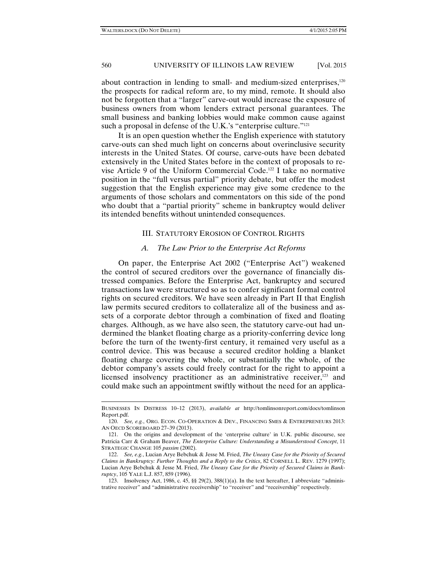$\overline{a}$ 

#### 560 UNIVERSITY OF ILLINOIS LAW REVIEW [Vol. 2015

about contraction in lending to small- and medium-sized enterprises,120 the prospects for radical reform are, to my mind, remote. It should also not be forgotten that a "larger" carve-out would increase the exposure of business owners from whom lenders extract personal guarantees. The small business and banking lobbies would make common cause against such a proposal in defense of the U.K.'s "enterprise culture."<sup>121</sup>

It is an open question whether the English experience with statutory carve-outs can shed much light on concerns about overinclusive security interests in the United States. Of course, carve-outs have been debated extensively in the United States before in the context of proposals to revise Article 9 of the Uniform Commercial Code.122 I take no normative position in the "full versus partial" priority debate, but offer the modest suggestion that the English experience may give some credence to the arguments of those scholars and commentators on this side of the pond who doubt that a "partial priority" scheme in bankruptcy would deliver its intended benefits without unintended consequences.

## III. STATUTORY EROSION OF CONTROL RIGHTS

#### *A. The Law Prior to the Enterprise Act Reforms*

On paper, the Enterprise Act 2002 ("Enterprise Act") weakened the control of secured creditors over the governance of financially distressed companies. Before the Enterprise Act, bankruptcy and secured transactions law were structured so as to confer significant formal control rights on secured creditors. We have seen already in Part II that English law permits secured creditors to collateralize all of the business and assets of a corporate debtor through a combination of fixed and floating charges. Although, as we have also seen, the statutory carve-out had undermined the blanket floating charge as a priority-conferring device long before the turn of the twenty-first century, it remained very useful as a control device. This was because a secured creditor holding a blanket floating charge covering the whole, or substantially the whole, of the debtor company's assets could freely contract for the right to appoint a licensed insolvency practitioner as an administrative receiver,<sup>123</sup> and could make such an appointment swiftly without the need for an applica-

BUSINESSES IN DISTRESS 10–12 (2013), *available at* http://tomlinsonreport.com/docs/tomlinson Report.pdf.

 <sup>120.</sup> *See, e.g.*, ORG. ECON. CO-OPERATION & DEV., FINANCING SMES & ENTREPRENEURS 2013: AN OECD SCOREBOARD 27–39 (2013).

 <sup>121.</sup> On the origins and development of the 'enterprise culture' in U.K. public discourse, see Patricia Carr & Graham Beaver, *The Enterprise Culture: Understanding a Misunderstood Concept*, 11 STRATEGIC CHANGE 105 *passim* (2002).

 <sup>122.</sup> *See, e.g.*, Lucian Arye Bebchuk & Jesse M. Fried, *The Uneasy Case for the Priority of Secured Claims in Bankruptcy: Further Thoughts and a Reply to the Critics*, 82 CORNELL L. REV. 1279 (1997); Lucian Arye Bebchuk & Jesse M. Fried, *The Uneasy Case for the Priority of Secured Claims in Bankruptcy*, 105 YALE L.J. 857, 859 (1996).

 <sup>123.</sup> Insolvency Act, 1986, c. 45, §§ 29(2), 388(1)(a). In the text hereafter, I abbreviate "administrative receiver" and "administrative receivership" to "receiver" and "receivership" respectively.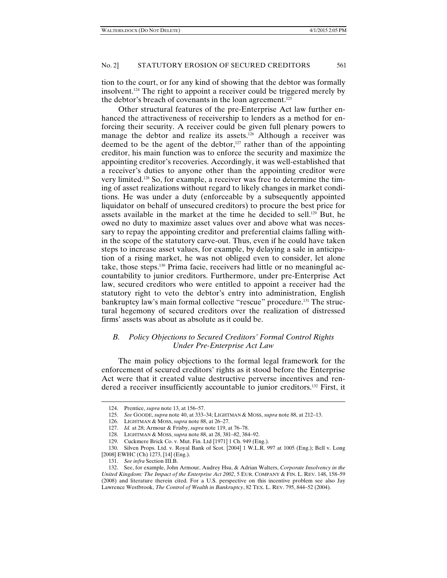tion to the court, or for any kind of showing that the debtor was formally insolvent.124 The right to appoint a receiver could be triggered merely by the debtor's breach of covenants in the loan agreement.<sup>125</sup>

Other structural features of the pre-Enterprise Act law further enhanced the attractiveness of receivership to lenders as a method for enforcing their security. A receiver could be given full plenary powers to manage the debtor and realize its assets.<sup>126</sup> Although a receiver was deemed to be the agent of the debtor, $127$  rather than of the appointing creditor, his main function was to enforce the security and maximize the appointing creditor's recoveries. Accordingly, it was well-established that a receiver's duties to anyone other than the appointing creditor were very limited.128 So, for example, a receiver was free to determine the timing of asset realizations without regard to likely changes in market conditions. He was under a duty (enforceable by a subsequently appointed liquidator on behalf of unsecured creditors) to procure the best price for assets available in the market at the time he decided to sell.<sup>129</sup> But, he owed no duty to maximize asset values over and above what was necessary to repay the appointing creditor and preferential claims falling within the scope of the statutory carve-out. Thus, even if he could have taken steps to increase asset values, for example, by delaying a sale in anticipation of a rising market, he was not obliged even to consider, let alone take, those steps.130 Prima facie, receivers had little or no meaningful accountability to junior creditors. Furthermore, under pre-Enterprise Act law, secured creditors who were entitled to appoint a receiver had the statutory right to veto the debtor's entry into administration, English bankruptcy law's main formal collective "rescue" procedure.131 The structural hegemony of secured creditors over the realization of distressed firms' assets was about as absolute as it could be.

# *B. Policy Objections to Secured Creditors' Formal Control Rights Under Pre-Enterprise Act Law*

The main policy objections to the formal legal framework for the enforcement of secured creditors' rights as it stood before the Enterprise Act were that it created value destructive perverse incentives and rendered a receiver insufficiently accountable to junior creditors.132 First, it

<sup>124.</sup> Prentice, *supra* note 13, at 156–57.

 <sup>125.</sup> *See* GOODE, *supra* note 40, at 333–34; LIGHTMAN & MOSS, *supra* note 88, at 212–13.

 <sup>126.</sup> LIGHTMAN & MOSS, *supra* note 88, at 26–27.

 <sup>127.</sup> *Id.* at 28; Armour & Frisby, *supra* note 119, at 76–78.

 <sup>128.</sup> LIGHTMAN & MOSS, *supra* note 88, at 28, 381–82, 384–92.

 <sup>129.</sup> Cuckmere Brick Co. v. Mut. Fin. Ltd [1971] 1 Ch. 949 (Eng.).

 <sup>130.</sup> Silven Props. Ltd. v. Royal Bank of Scot. [2004] 1 W.L.R. 997 at 1005 (Eng.); Bell v. Long [2008] EWHC (Ch) 1273, [14] (Eng.).

 <sup>131.</sup> *See infra* Section III.B.

 <sup>132.</sup> See, for example, John Armour, Audrey Hsu, & Adrian Walters, *Corporate Insolvency in the United Kingdom: The Impact of the Enterprise Act 2002*, 5 EUR. COMPANY & FIN. L. REV. 148, 158–59 (2008) and literature therein cited. For a U.S. perspective on this incentive problem see also Jay Lawrence Westbrook, *The Control of Wealth in Bankruptcy*, 82 TEX. L. REV. 795, 844–52 (2004).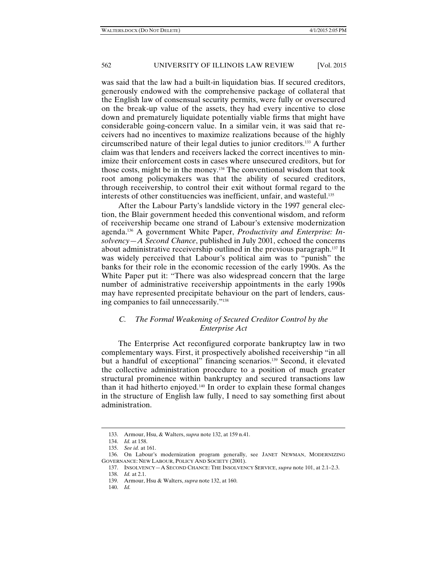was said that the law had a built-in liquidation bias. If secured creditors, generously endowed with the comprehensive package of collateral that the English law of consensual security permits, were fully or oversecured on the break-up value of the assets, they had every incentive to close down and prematurely liquidate potentially viable firms that might have considerable going-concern value. In a similar vein, it was said that receivers had no incentives to maximize realizations because of the highly circumscribed nature of their legal duties to junior creditors.133 A further claim was that lenders and receivers lacked the correct incentives to minimize their enforcement costs in cases where unsecured creditors, but for those costs, might be in the money.134 The conventional wisdom that took root among policymakers was that the ability of secured creditors, through receivership, to control their exit without formal regard to the interests of other constituencies was inefficient, unfair, and wasteful.135

After the Labour Party's landslide victory in the 1997 general election, the Blair government heeded this conventional wisdom, and reform of receivership became one strand of Labour's extensive modernization agenda.136 A government White Paper, *Productivity and Enterprise: Insolvency—A Second Chance*, published in July 2001, echoed the concerns about administrative receivership outlined in the previous paragraph.137 It was widely perceived that Labour's political aim was to "punish" the banks for their role in the economic recession of the early 1990s. As the White Paper put it: "There was also widespread concern that the large number of administrative receivership appointments in the early 1990s may have represented precipitate behaviour on the part of lenders, causing companies to fail unnecessarily."138

# *C. The Formal Weakening of Secured Creditor Control by the Enterprise Act*

The Enterprise Act reconfigured corporate bankruptcy law in two complementary ways. First, it prospectively abolished receivership "in all but a handful of exceptional" financing scenarios.139 Second, it elevated the collective administration procedure to a position of much greater structural prominence within bankruptcy and secured transactions law than it had hitherto enjoyed.140 In order to explain these formal changes in the structure of English law fully, I need to say something first about administration.

<sup>133.</sup> Armour, Hsu, & Walters, *supra* note 132, at 159 n.41.

 <sup>134.</sup> *Id.* at 158.

 <sup>135.</sup> *See id.* at 161.

 <sup>136.</sup> On Labour's modernization program generally, see JANET NEWMAN, MODERNIZING GOVERNANCE: NEW LABOUR, POLICY AND SOCIETY (2001).

 <sup>137.</sup> INSOLVENCY—A SECOND CHANCE: THE INSOLVENCY SERVICE, *supra* note 101, at 2.1–2.3.

 <sup>138.</sup> *Id.* at 2.1.

 <sup>139.</sup> Armour, Hsu & Walters, *supra* note 132, at 160.

 <sup>140.</sup> *Id.*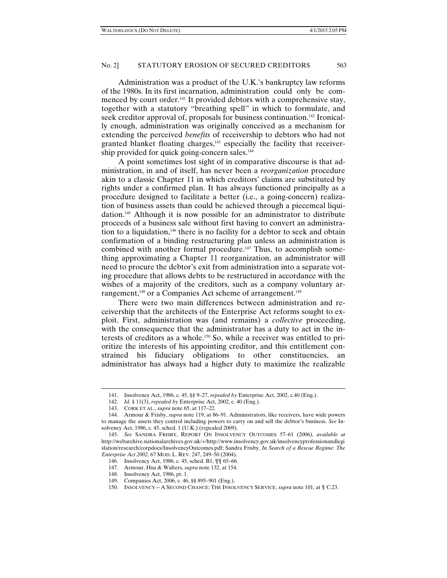Administration was a product of the U.K.'s bankruptcy law reforms of the 1980s. In its first incarnation, administration could only be commenced by court order.<sup>141</sup> It provided debtors with a comprehensive stay, together with a statutory "breathing spell" in which to formulate, and seek creditor approval of, proposals for business continuation.142 Ironically enough, administration was originally conceived as a mechanism for extending the perceived *benefits* of receivership to debtors who had not granted blanket floating charges,<sup>143</sup> especially the facility that receivership provided for quick going-concern sales.<sup>144</sup>

A point sometimes lost sight of in comparative discourse is that administration, in and of itself, has never been a *reorganization* procedure akin to a classic Chapter 11 in which creditors' claims are substituted by rights under a confirmed plan. It has always functioned principally as a procedure designed to facilitate a better (i.e., a going-concern) realization of business assets than could be achieved through a piecemeal liquidation.145 Although it is now possible for an administrator to distribute proceeds of a business sale without first having to convert an administration to a liquidation,<sup>146</sup> there is no facility for a debtor to seek and obtain confirmation of a binding restructuring plan unless an administration is combined with another formal procedure.<sup>147</sup> Thus, to accomplish something approximating a Chapter 11 reorganization, an administrator will need to procure the debtor's exit from administration into a separate voting procedure that allows debts to be restructured in accordance with the wishes of a majority of the creditors, such as a company voluntary arrangement,<sup>148</sup> or a Companies Act scheme of arrangement.<sup>149</sup>

There were two main differences between administration and receivership that the architects of the Enterprise Act reforms sought to exploit. First, administration was (and remains) a *collective* proceeding, with the consequence that the administrator has a duty to act in the interests of creditors as a whole.150 So, while a receiver was entitled to prioritize the interests of his appointing creditor, and this entitlement constrained his fiduciary obligations to other constituencies, an administrator has always had a higher duty to maximize the realizable

<sup>141.</sup> Insolvency Act, 1986, c. 45, §§ 9–27, *repealed by* Enterprise Act, 2002, c.40 (Eng.).

 <sup>142.</sup> *Id.* § 11(3), *repealed by* Enterprise Act, 2002, c. 40 (Eng.).

 <sup>143.</sup> CORK ET AL., *supra* note 65, at 117–22.

 <sup>144.</sup> Armour & Frisby, *supra* note 119, at 86–91. Administrators, like receivers, have wide powers to manage the assets they control including powers to carry on and sell the debtor's business. *See* Insolvency Act, 1986, c. 45, sched. 1 (U.K.) (repealed 2009).

 <sup>145.</sup> *See* SANDRA FRISBY, REPORT ON INSOLVENCY OUTCOMES 57–61 (2006), *available at* http://webarchive.nationalarchives.gov.uk/+/http://www.insolvency.gov.uk/insolvencyprofessionandlegi slation/research/corpdocs/InsolvencyOutcomes.pdf; Sandra Frisby, *In Search of a Rescue Regime: The Enterprise Act 2002*, 67 MOD. L. REV. 247, 249–50 (2004).

 <sup>146.</sup> Insolvency Act, 1986, c. 45, sched. B1, ¶¶ 65–66.

 <sup>147.</sup> Armour, Hsu & Walters, *supra* note 132, at 154.

 <sup>148.</sup> Insolvency Act, 1986, pt. 1.

 <sup>149.</sup> Companies Act, 2006, c. 46, §§ 895–901 (Eng.).

 <sup>150.</sup> INSOLVENCY—A SECOND CHANCE: THE INSOLVENCY SERVICE, *supra* note 101, at ¶ C.23.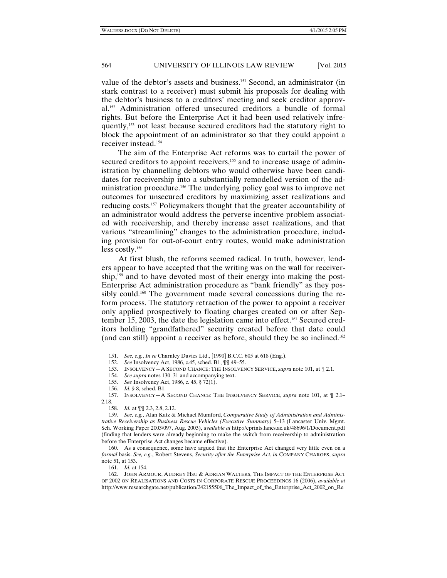value of the debtor's assets and business.151 Second, an administrator (in stark contrast to a receiver) must submit his proposals for dealing with the debtor's business to a creditors' meeting and seek creditor approval.152 Administration offered unsecured creditors a bundle of formal rights. But before the Enterprise Act it had been used relatively infrequently,<sup>153</sup> not least because secured creditors had the statutory right to block the appointment of an administrator so that they could appoint a receiver instead.154

The aim of the Enterprise Act reforms was to curtail the power of secured creditors to appoint receivers,<sup>155</sup> and to increase usage of administration by channelling debtors who would otherwise have been candidates for receivership into a substantially remodelled version of the administration procedure.156 The underlying policy goal was to improve net outcomes for unsecured creditors by maximizing asset realizations and reducing costs.157 Policymakers thought that the greater accountability of an administrator would address the perverse incentive problem associated with receivership, and thereby increase asset realizations, and that various "streamlining" changes to the administration procedure, including provision for out-of-court entry routes, would make administration less costly.158

At first blush, the reforms seemed radical. In truth, however, lenders appear to have accepted that the writing was on the wall for receivership,<sup>159</sup> and to have devoted most of their energy into making the post-Enterprise Act administration procedure as "bank friendly" as they possibly could.<sup>160</sup> The government made several concessions during the reform process. The statutory retraction of the power to appoint a receiver only applied prospectively to floating charges created on or after September 15, 2003, the date the legislation came into effect.<sup>161</sup> Secured creditors holding "grandfathered" security created before that date could (and can still) appoint a receiver as before, should they be so inclined.162

 $\overline{a}$ 

158. *Id.* at ¶¶ 2.3, 2.8, 2.12.

161. *Id.* at 154.

 162. JOHN ARMOUR, AUDREY HSU & ADRIAN WALTERS, THE IMPACT OF THE ENTERPRISE ACT OF 2002 ON REALISATIONS AND COSTS IN CORPORATE RESCUE PROCEEDINGS 16 (2006), *available at* http://www.researchgate.net/publication/242155506\_The\_Impact\_of\_the\_Enterprise\_Act\_2002\_on\_Re

<sup>151.</sup> *See, e.g.*, *In re* Charnley Davies Ltd., [1990] B.C.C. 605 at 618 (Eng.).

 <sup>152.</sup> *See* Insolvency Act, 1986, c.45, sched. B1, ¶¶ 49–55.

 <sup>153.</sup> INSOLVENCY—A SECOND CHANCE: THE INSOLVENCY SERVICE, *supra* note 101, at ¶ 2.1.

 <sup>154.</sup> *See supra* notes 130–31 and accompanying text.

 <sup>155.</sup> *See* Insolvency Act, 1986, c. 45, § 72(1).

 <sup>156.</sup> *Id.* § 8, sched. B1.

 <sup>157.</sup> INSOLVENCY—A SECOND CHANCE: THE INSOLVENCY SERVICE, *supra* note 101, at ¶ 2.1– 2.18.

 <sup>159.</sup> *See, e.g.*, Alan Katz & Michael Mumford, *Comparative Study of Administration and Administrative Receivership as Business Rescue Vehicles (Executive Summary)* 5–13 (Lancaster Univ. Mgmt. Sch. Working Paper 2003/097, Aug. 2003), *available at* http://eprints.lancs.ac.uk/48696/1/Document.pdf (finding that lenders were already beginning to make the switch from receivership to administration before the Enterprise Act changes became effective).

 <sup>160.</sup> As a consequence, some have argued that the Enterprise Act changed very little even on a *formal* basis. *See, e.g.*, Robert Stevens, *Security after the Enterprise Act*, *in* COMPANY CHARGES, *supra*  note 51, at 153.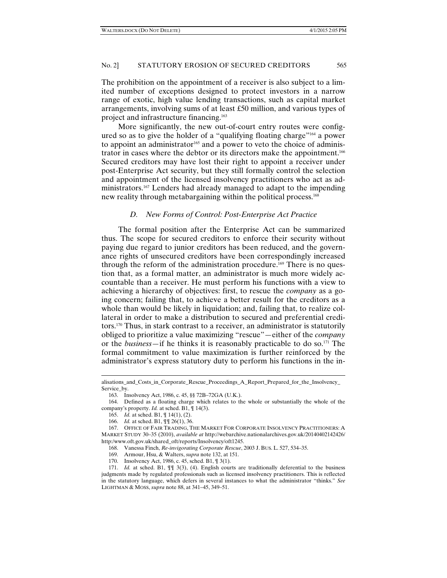The prohibition on the appointment of a receiver is also subject to a limited number of exceptions designed to protect investors in a narrow range of exotic, high value lending transactions, such as capital market arrangements, involving sums of at least £50 million, and various types of project and infrastructure financing.163

More significantly, the new out-of-court entry routes were configured so as to give the holder of a "qualifying floating charge"164 a power to appoint an administrator<sup>165</sup> and a power to veto the choice of administrator in cases where the debtor or its directors make the appointment.166 Secured creditors may have lost their right to appoint a receiver under post-Enterprise Act security, but they still formally control the selection and appointment of the licensed insolvency practitioners who act as administrators.167 Lenders had already managed to adapt to the impending new reality through metabargaining within the political process.<sup>168</sup>

## *D. New Forms of Control: Post-Enterprise Act Practice*

The formal position after the Enterprise Act can be summarized thus. The scope for secured creditors to enforce their security without paying due regard to junior creditors has been reduced, and the governance rights of unsecured creditors have been correspondingly increased through the reform of the administration procedure.169 There is no question that, as a formal matter, an administrator is much more widely accountable than a receiver. He must perform his functions with a view to achieving a hierarchy of objectives: first, to rescue the *company* as a going concern; failing that, to achieve a better result for the creditors as a whole than would be likely in liquidation; and, failing that, to realize collateral in order to make a distribution to secured and preferential creditors.170 Thus, in stark contrast to a receiver, an administrator is statutorily obliged to prioritize a value maximizing "rescue"—either of the *company* or the *business*—if he thinks it is reasonably practicable to do so.171 The formal commitment to value maximization is further reinforced by the administrator's express statutory duty to perform his functions in the in-

alisations\_and\_Costs\_in\_Corporate\_Rescue\_Proceedings\_A\_Report\_Prepared\_for\_the\_Insolvency\_ Service by.

 <sup>163.</sup> Insolvency Act, 1986, c. 45, §§ 72B–72GA (U.K.).

 <sup>164.</sup> Defined as a floating charge which relates to the whole or substantially the whole of the company's property. *Id.* at sched. B1, ¶ 14(3).

 <sup>165.</sup> *Id.* at sched. B1, ¶ 14(1), (2).

 <sup>166.</sup> *Id.* at sched. B1, ¶¶ 26(1), 36.

 <sup>167.</sup> OFFICE OF FAIR TRADING, THE MARKET FOR CORPORATE INSOLVENCY PRACTITIONERS: A MARKET STUDY 30–35 (2010), *available at* http://webarchive.nationalarchives.gov.uk/20140402142426/ http:/www.oft.gov.uk/shared\_oft/reports/Insolvency/oft1245.

 <sup>168.</sup> Vanessa Finch, *Re-invigorating Corporate Rescue*, 2003 J. BUS. L. 527, 534–35.

 <sup>169.</sup> Armour, Hsu, & Walters, *supra* note 132, at 151.

 <sup>170.</sup> Insolvency Act, 1986, c. 45, sched. B1, ¶ 3(1).

 <sup>171.</sup> *Id.* at sched. B1, ¶¶ 3(3), (4). English courts are traditionally deferential to the business judgments made by regulated professionals such as licensed insolvency practitioners. This is reflected in the statutory language, which defers in several instances to what the administrator "thinks." *See*  LIGHTMAN & MOSS, *supra* note 88, at 341–45, 349–51.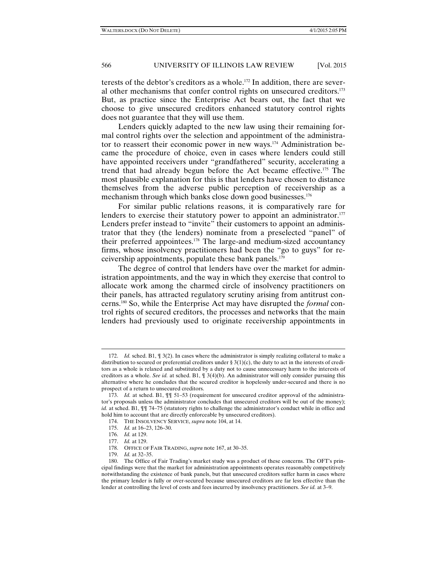terests of the debtor's creditors as a whole.<sup>172</sup> In addition, there are several other mechanisms that confer control rights on unsecured creditors.<sup>173</sup> But, as practice since the Enterprise Act bears out, the fact that we choose to give unsecured creditors enhanced statutory control rights does not guarantee that they will use them.

Lenders quickly adapted to the new law using their remaining formal control rights over the selection and appointment of the administrator to reassert their economic power in new ways.174 Administration became the procedure of choice, even in cases where lenders could still have appointed receivers under "grandfathered" security, accelerating a trend that had already begun before the Act became effective.175 The most plausible explanation for this is that lenders have chosen to distance themselves from the adverse public perception of receivership as a mechanism through which banks close down good businesses.<sup>176</sup>

For similar public relations reasons, it is comparatively rare for lenders to exercise their statutory power to appoint an administrator.<sup>177</sup> Lenders prefer instead to "invite" their customers to appoint an administrator that they (the lenders) nominate from a preselected "panel" of their preferred appointees.178 The large-and medium-sized accountancy firms, whose insolvency practitioners had been the "go to guys" for receivership appointments, populate these bank panels.179

The degree of control that lenders have over the market for administration appointments, and the way in which they exercise that control to allocate work among the charmed circle of insolvency practitioners on their panels, has attracted regulatory scrutiny arising from antitrust concerns.180 So, while the Enterprise Act may have disrupted the *formal* control rights of secured creditors, the processes and networks that the main lenders had previously used to originate receivership appointments in

<sup>172.</sup> *Id.* sched. B1, ¶ 3(2). In cases where the administrator is simply realizing collateral to make a distribution to secured or preferential creditors under §  $3(1)(c)$ , the duty to act in the interests of creditors as a whole is relaxed and substituted by a duty not to cause unnecessary harm to the interests of creditors as a whole. *See id.* at sched. B1, ¶ 3(4)(b). An administrator will only consider pursuing this alternative where he concludes that the secured creditor is hopelessly under-secured and there is no prospect of a return to unsecured creditors.

<sup>173.</sup> *Id.* at sched. B1,  $\P$   $\P$  51-53 (requirement for unsecured creditor approval of the administrator's proposals unless the administrator concludes that unsecured creditors will be out of the money); *id.* at sched. B1,  $\int \int \int$  74–75 (statutory rights to challenge the administrator's conduct while in office and hold him to account that are directly enforceable by unsecured creditors).

 <sup>174.</sup> THE INSOLVENCY SERVICE, *supra* note 104, at 14.

 <sup>175.</sup> *Id.* at 16–23, 126–30.

 <sup>176.</sup> *Id.* at 129.

 <sup>177.</sup> *Id.* at 129.

 <sup>178.</sup> OFFICE OF FAIR TRADING, *supra* note 167, at 30–35.

 <sup>179.</sup> *Id.* at 32–35.

 <sup>180.</sup> The Office of Fair Trading's market study was a product of these concerns. The OFT's principal findings were that the market for administration appointments operates reasonably competitively notwithstanding the existence of bank panels, but that unsecured creditors suffer harm in cases where the primary lender is fully or over-secured because unsecured creditors are far less effective than the lender at controlling the level of costs and fees incurred by insolvency practitioners. *See id.* at 3–9.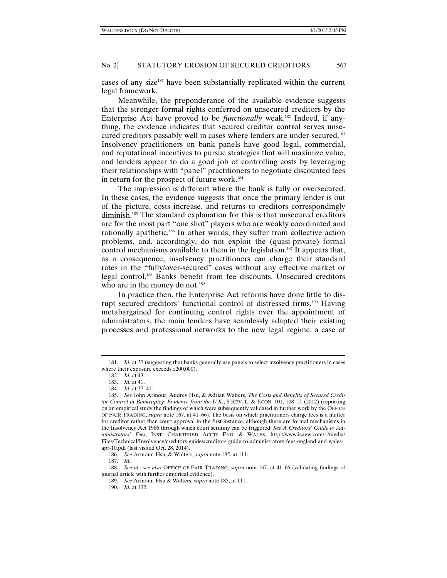cases of any size181 have been substantially replicated within the current legal framework.

Meanwhile, the preponderance of the available evidence suggests that the stronger formal rights conferred on unsecured creditors by the Enterprise Act have proved to be *functionally* weak.182 Indeed, if anything, the evidence indicates that secured creditor control serves unsecured creditors passably well in cases where lenders are under-secured.183 Insolvency practitioners on bank panels have good legal, commercial, and reputational incentives to pursue strategies that will maximize value, and lenders appear to do a good job of controlling costs by leveraging their relationships with "panel" practitioners to negotiate discounted fees in return for the prospect of future work.<sup>184</sup>

The impression is different where the bank is fully or oversecured. In these cases, the evidence suggests that once the primary lender is out of the picture, costs increase, and returns to creditors correspondingly diminish.185 The standard explanation for this is that unsecured creditors are for the most part "one shot" players who are weakly coordinated and rationally apathetic.186 In other words, they suffer from collective action problems, and, accordingly, do not exploit the (quasi-private) formal control mechanisms available to them in the legislation.<sup>187</sup> It appears that, as a consequence, insolvency practitioners can charge their standard rates in the "fully/over-secured" cases without any effective market or legal control.188 Banks benefit from fee discounts. Unsecured creditors who are in the money do not.<sup>189</sup>

In practice then, the Enterprise Act reforms have done little to disrupt secured creditors' functional control of distressed firms.190 Having metabargained for continuing control rights over the appointment of administrators, the main lenders have seamlessly adapted their existing processes and professional networks to the new legal regime: a case of

<sup>181.</sup> *Id.* at 32 (suggesting that banks generally use panels to select insolvency practitioners in cases where their exposure exceeds £200,000).

 <sup>182.</sup> *Id.* at 43.

 <sup>183.</sup> *Id.* at 41.

 <sup>184.</sup> *Id.* at 37–41.

 <sup>185.</sup> *See* John Armour, Audrey Hsu, & Adrian Walters, *The Costs and Benefits of Secured Creditor Control in Bankruptcy: Evidence from the U.K.*, 8 REV. L. & ECON. 101, 108–11 (2012) (reporting on an empirical study the findings of which were subsequently validated in further work by the OFFICE OF FAIR TRADING, *supra* note 167, at 41–66). The basis on which practitioners charge fees is a matter for creditor rather than court approval in the first instance, although there are formal mechanisms in the Insolvency Act 1986 through which court scrutiny can be triggered. *See A Creditors' Guide to Administrators' Fees*, INST. CHARTERED ACCTS ENG. & WALES, http://www.icaew.com/~/media/ Files/Technical/Insolvency/creditors-guides/creditors-guide-to-administrators-fees-england-and-walesapr-10.pdf (last visited Oct. 28, 2014).

 <sup>186.</sup> *See* Armour, Hsu, & Walters, *supra* note 185, at 111.

 <sup>187.</sup> *Id.*

 <sup>188.</sup> *See id.*; *see also* OFFICE OF FAIR TRADING, *supra* note 167, at 41–66 (validating findings of journal article with further empirical evidence).

 <sup>189.</sup> *See* Armour, Hsu & Walters, *supra* note 185, at 111.

 <sup>190.</sup> *Id.* at 132.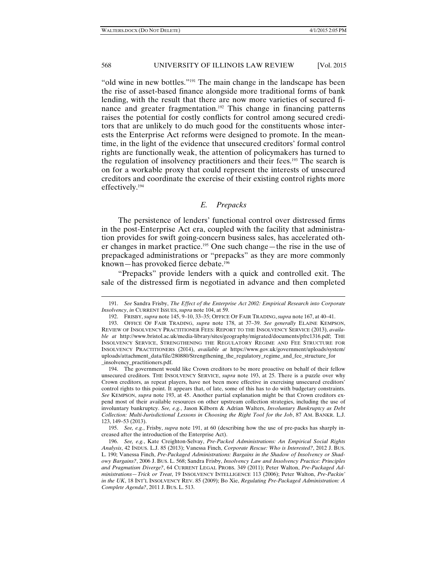$\overline{a}$ 

#### 568 UNIVERSITY OF ILLINOIS LAW REVIEW [Vol. 2015

"old wine in new bottles."191 The main change in the landscape has been the rise of asset-based finance alongside more traditional forms of bank lending, with the result that there are now more varieties of secured finance and greater fragmentation.<sup>192</sup> This change in financing patterns raises the potential for costly conflicts for control among secured creditors that are unlikely to do much good for the constituents whose interests the Enterprise Act reforms were designed to promote. In the meantime, in the light of the evidence that unsecured creditors' formal control rights are functionally weak, the attention of policymakers has turned to the regulation of insolvency practitioners and their fees.193 The search is on for a workable proxy that could represent the interests of unsecured creditors and coordinate the exercise of their existing control rights more effectively.194

# *E. Prepacks*

The persistence of lenders' functional control over distressed firms in the post-Enterprise Act era, coupled with the facility that administration provides for swift going-concern business sales, has accelerated other changes in market practice.195 One such change—the rise in the use of prepackaged administrations or "prepacks" as they are more commonly known—has provoked fierce debate.196

"Prepacks" provide lenders with a quick and controlled exit. The sale of the distressed firm is negotiated in advance and then completed

 194. The government would like Crown creditors to be more proactive on behalf of their fellow unsecured creditors. THE INSOLVENCY SERVICE, *supra* note 193, at 25. There is a puzzle over why Crown creditors, as repeat players, have not been more effective in exercising unsecured creditors' control rights to this point. It appears that, of late, some of this has to do with budgetary constraints. *See* KEMPSON, *supra* note 193, at 45. Another partial explanation might be that Crown creditors expend most of their available resources on other upstream collection strategies, including the use of involuntary bankruptcy. *See, e.g.*, Jason Kilborn & Adrian Walters, *Involuntary Bankruptcy as Debt Collection: Multi-Jurisdictional Lessons in Choosing the Right Tool for the Job*, 87 AM. BANKR. L.J. 123, 149–53 (2013).

 195. *See, e.g.*, Frisby, *supra* note 191, at 60 (describing how the use of pre-packs has sharply increased after the introduction of the Enterprise Act).

<sup>191.</sup> *See* Sandra Frisby, *The Effect of the Enterprise Act 2002: Empirical Research into Corporate Insolvency*, *in* CURRENT ISSUES, *supra* note 104, at 59.

 <sup>192.</sup> FRISBY, *supra* note 145, 9–10, 33–35; OFFICE OF FAIR TRADING, *supra* note 167, at 40–41.

 <sup>193.</sup> OFFICE OF FAIR TRADING, *supra* note 178, at 37–39. *See generally* ELAINE KEMPSON, REVIEW OF INSOLVENCY PRACTITIONER FEES: REPORT TO THE INSOLVENCY SERVICE (2013), *available at* http://www.bristol.ac.uk/media-library/sites/geography/migrated/documents/pfrc1316.pdf; THE INSOLVENCY SERVICE, STRENGTHENING THE REGULATORY REGIME AND FEE STRUCTURE FOR INSOLVENCY PRACTITIONERS (2014), *available at* https://www.gov.uk/government/uploads/system/ uploads/attachment\_data/file/280880/Strengthening\_the\_regulatory\_regime\_and\_fee\_structure\_for \_insolvency\_practitioners.pdf.

 <sup>196.</sup> *See, e.g.*, Kate Creighton-Selvay, *Pre-Packed Administrations: An Empirical Social Rights Analysis*, 42 INDUS. L.J. 85 (2013); Vanessa Finch, *Corporate Rescue: Who is Interested?*, 2012 J. BUS. L. 190; Vanessa Finch, *Pre-Packaged Administrations: Bargains in the Shadow of Insolvency or Shadowy Bargains?*, 2006 J. BUS. L. 568; Sandra Frisby, *Insolvency Law and Insolvency Practice: Principles and Pragmatism Diverge?*, 64 CURRENT LEGAL PROBS. 349 (2011); Peter Walton, *Pre-Packaged Administrations—Trick or Treat*, 19 INSOLVENCY INTELLIGENCE 113 (2006); Peter Walton, *Pre-Packin' in the UK*, 18 INT'L INSOLVENCY REV. 85 (2009); Bo Xie, *Regulating Pre-Packaged Administration: A Complete Agenda?*, 2011 J. BUS. L. 513.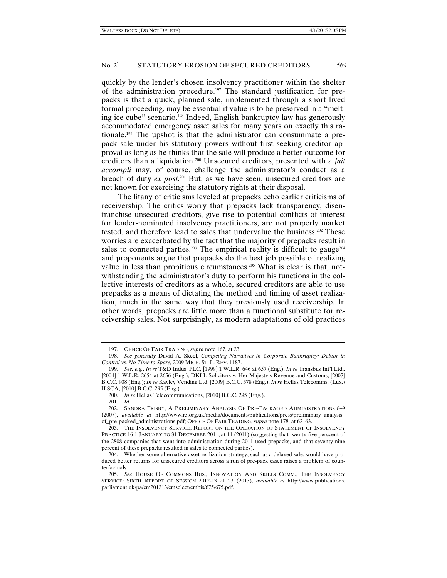quickly by the lender's chosen insolvency practitioner within the shelter of the administration procedure.197 The standard justification for prepacks is that a quick, planned sale, implemented through a short lived formal proceeding, may be essential if value is to be preserved in a "melting ice cube" scenario.198 Indeed, English bankruptcy law has generously accommodated emergency asset sales for many years on exactly this rationale.199 The upshot is that the administrator can consummate a prepack sale under his statutory powers without first seeking creditor approval as long as he thinks that the sale will produce a better outcome for creditors than a liquidation.200 Unsecured creditors, presented with a *fait accompli* may, of course, challenge the administrator's conduct as a breach of duty *ex post*. 201 But, as we have seen, unsecured creditors are not known for exercising the statutory rights at their disposal.

The litany of criticisms leveled at prepacks echo earlier criticisms of receivership. The critics worry that prepacks lack transparency, disenfranchise unsecured creditors, give rise to potential conflicts of interest for lender-nominated insolvency practitioners, are not properly market tested, and therefore lead to sales that undervalue the business.202 These worries are exacerbated by the fact that the majority of prepacks result in sales to connected parties.<sup>203</sup> The empirical reality is difficult to gauge<sup>204</sup> and proponents argue that prepacks do the best job possible of realizing value in less than propitious circumstances.<sup>205</sup> What is clear is that, notwithstanding the administrator's duty to perform his functions in the collective interests of creditors as a whole, secured creditors are able to use prepacks as a means of dictating the method and timing of asset realization, much in the same way that they previously used receivership. In other words, prepacks are little more than a functional substitute for receivership sales. Not surprisingly, as modern adaptations of old practices

<sup>197.</sup> OFFICE OF FAIR TRADING, *supra* note 167, at 23.

 <sup>198.</sup> *See generally* David A. Skeel, *Competing Narratives in Corporate Bankruptcy: Debtor in Control vs. No Time to Spare,* 2009 MICH. ST. L. REV. 1187.

 <sup>199.</sup> *See, e.g.*, *In re* T&D Indus. PLC, [1999] 1 W.L.R. 646 at 657 (Eng.); *In re* Transbus Int'l Ltd., [2004] 1 W.L.R. 2654 at 2656 (Eng.); DKLL Solicitors v. Her Majesty's Revenue and Customs, [2007] B.C.C. 908 (Eng.); *In re* Kayley Vending Ltd, [2009] B.C.C. 578 (Eng.); *In re* Hellas Telecomms. (Lux.) II SCA, [2010] B.C.C. 295 (Eng.).

 <sup>200.</sup> *In re* Hellas Telecommunications, [2010] B.C.C. 295 (Eng.).

 <sup>201.</sup> *Id.*

 <sup>202.</sup> SANDRA FRISBY, A PRELIMINARY ANALYSIS OF PRE-PACKAGED ADMINISTRATIONS 8–9 (2007), *available at* http://www.r3.org.uk/media/documents/publications/press/preliminary\_analysis\_ of\_pre-packed\_administrations.pdf; OFFICE OF FAIR TRADING, *supra* note 178, at 62–63.

 <sup>203.</sup> THE INSOLVENCY SERVICE, REPORT ON THE OPERATION OF STATEMENT OF INSOLVENCY PRACTICE 16 1 JANUARY TO 31 DECEMBER 2011, at 11 (2011) (suggesting that twenty-five percent of the 2808 companies that went into administration during 2011 used prepacks, and that seventy-nine percent of these prepacks resulted in sales to connected parties).

 <sup>204.</sup> Whether some alternative asset realization strategy, such as a delayed sale, would have produced better returns for unsecured creditors across a run of pre-pack cases raises a problem of counterfactuals.

 <sup>205.</sup> *See* HOUSE OF COMMONS BUS., INNOVATION AND SKILLS COMM., THE INSOLVENCY SERVICE: SIXTH REPORT OF SESSION 2012-13 21–23 (2013), *available at* http://www.publications. parliament.uk/pa/cm201213/cmselect/cmbis/675/675.pdf.